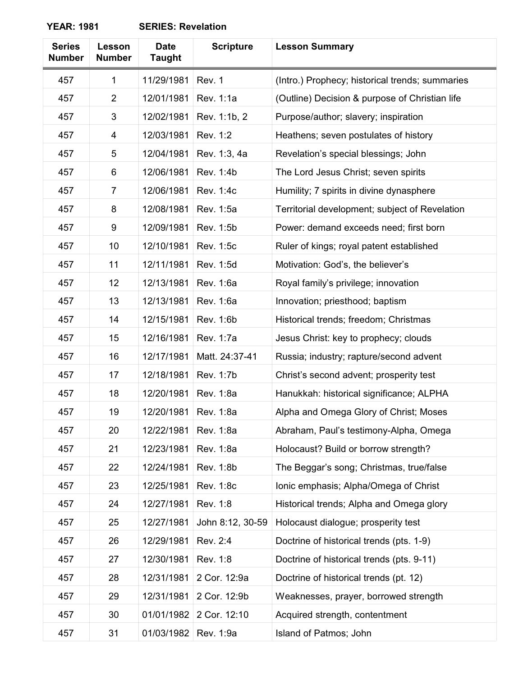| <b>Series</b><br><b>Number</b> | Lesson<br><b>Number</b> | <b>Date</b><br><b>Taught</b> | <b>Scripture</b> | <b>Lesson Summary</b>                           |
|--------------------------------|-------------------------|------------------------------|------------------|-------------------------------------------------|
| 457                            | 1                       | 11/29/1981                   | Rev. 1           | (Intro.) Prophecy; historical trends; summaries |
| 457                            | $\overline{2}$          | 12/01/1981                   | Rev. 1:1a        | (Outline) Decision & purpose of Christian life  |
| 457                            | 3                       | 12/02/1981                   | Rev. 1:1b, 2     | Purpose/author; slavery; inspiration            |
| 457                            | 4                       | 12/03/1981                   | Rev. 1:2         | Heathens; seven postulates of history           |
| 457                            | 5                       | 12/04/1981                   | Rev. 1:3, 4a     | Revelation's special blessings; John            |
| 457                            | 6                       | 12/06/1981                   | Rev. 1:4b        | The Lord Jesus Christ; seven spirits            |
| 457                            | $\overline{7}$          | 12/06/1981                   | Rev. 1:4c        | Humility; 7 spirits in divine dynasphere        |
| 457                            | 8                       | 12/08/1981                   | Rev. 1:5a        | Territorial development; subject of Revelation  |
| 457                            | 9                       | 12/09/1981                   | Rev. 1:5b        | Power: demand exceeds need; first born          |
| 457                            | 10                      | 12/10/1981                   | Rev. 1:5c        | Ruler of kings; royal patent established        |
| 457                            | 11                      | 12/11/1981                   | Rev. 1:5d        | Motivation: God's, the believer's               |
| 457                            | 12                      | 12/13/1981                   | Rev. 1:6a        | Royal family's privilege; innovation            |
| 457                            | 13                      | 12/13/1981                   | Rev. 1:6a        | Innovation; priesthood; baptism                 |
| 457                            | 14                      | 12/15/1981                   | Rev. 1:6b        | Historical trends; freedom; Christmas           |
| 457                            | 15                      | 12/16/1981                   | Rev. 1:7a        | Jesus Christ: key to prophecy; clouds           |
| 457                            | 16                      | 12/17/1981                   | Matt. 24:37-41   | Russia; industry; rapture/second advent         |
| 457                            | 17                      | 12/18/1981                   | Rev. 1:7b        | Christ's second advent; prosperity test         |
| 457                            | 18                      | 12/20/1981                   | Rev. 1:8a        | Hanukkah: historical significance; ALPHA        |
| 457                            | 19                      | 12/20/1981                   | Rev. 1:8a        | Alpha and Omega Glory of Christ; Moses          |
| 457                            | 20                      | 12/22/1981                   | Rev. 1:8a        | Abraham, Paul's testimony-Alpha, Omega          |
| 457                            | 21                      | 12/23/1981                   | Rev. 1:8a        | Holocaust? Build or borrow strength?            |
| 457                            | 22                      | 12/24/1981                   | Rev. 1:8b        | The Beggar's song; Christmas, true/false        |
| 457                            | 23                      | 12/25/1981                   | Rev. 1:8c        | Ionic emphasis; Alpha/Omega of Christ           |
| 457                            | 24                      | 12/27/1981                   | Rev. 1:8         | Historical trends; Alpha and Omega glory        |
| 457                            | 25                      | 12/27/1981                   | John 8:12, 30-59 | Holocaust dialogue; prosperity test             |
| 457                            | 26                      | 12/29/1981                   | Rev. 2:4         | Doctrine of historical trends (pts. 1-9)        |
| 457                            | 27                      | 12/30/1981                   | Rev. 1:8         | Doctrine of historical trends (pts. 9-11)       |
| 457                            | 28                      | 12/31/1981                   | 2 Cor. 12:9a     | Doctrine of historical trends (pt. 12)          |
| 457                            | 29                      | 12/31/1981                   | 2 Cor. 12:9b     | Weaknesses, prayer, borrowed strength           |
| 457                            | 30                      | 01/01/1982                   | 2 Cor. 12:10     | Acquired strength, contentment                  |
| 457                            | 31                      | 01/03/1982                   | Rev. 1:9a        | Island of Patmos; John                          |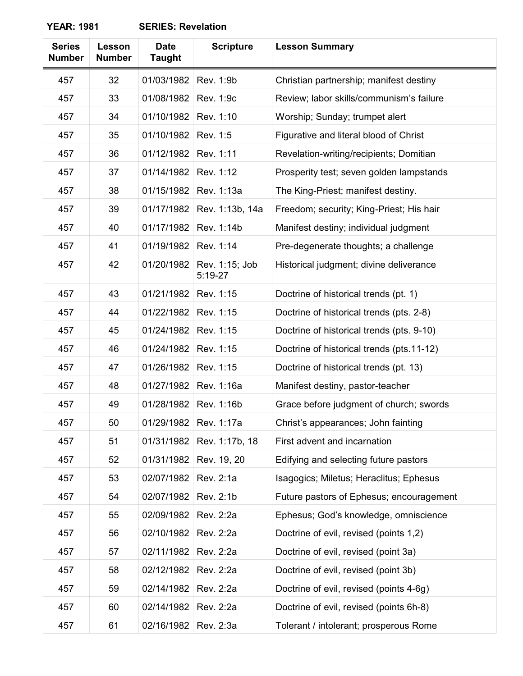| <b>SERIES: Revelation</b> |
|---------------------------|
|---------------------------|

| <b>Series</b><br><b>Number</b> | Lesson<br><b>Number</b> | <b>Date</b><br><b>Taught</b> | <b>Scripture</b>            | <b>Lesson Summary</b>                     |
|--------------------------------|-------------------------|------------------------------|-----------------------------|-------------------------------------------|
| 457                            | 32                      | 01/03/1982                   | Rev. 1:9b                   | Christian partnership; manifest destiny   |
| 457                            | 33                      | 01/08/1982                   | Rev. 1:9c                   | Review; labor skills/communism's failure  |
| 457                            | 34                      | 01/10/1982                   | Rev. 1:10                   | Worship; Sunday; trumpet alert            |
| 457                            | 35                      | 01/10/1982                   | Rev. 1:5                    | Figurative and literal blood of Christ    |
| 457                            | 36                      | 01/12/1982                   | Rev. 1:11                   | Revelation-writing/recipients; Domitian   |
| 457                            | 37                      | 01/14/1982                   | Rev. 1:12                   | Prosperity test; seven golden lampstands  |
| 457                            | 38                      | 01/15/1982                   | Rev. 1:13a                  | The King-Priest; manifest destiny.        |
| 457                            | 39                      | 01/17/1982                   | Rev. 1:13b, 14a             | Freedom; security; King-Priest; His hair  |
| 457                            | 40                      | 01/17/1982                   | Rev. 1:14b                  | Manifest destiny; individual judgment     |
| 457                            | 41                      | 01/19/1982                   | Rev. 1:14                   | Pre-degenerate thoughts; a challenge      |
| 457                            | 42                      | 01/20/1982                   | Rev. 1:15; Job<br>$5:19-27$ | Historical judgment; divine deliverance   |
| 457                            | 43                      | 01/21/1982                   | Rev. 1:15                   | Doctrine of historical trends (pt. 1)     |
| 457                            | 44                      | 01/22/1982                   | Rev. 1:15                   | Doctrine of historical trends (pts. 2-8)  |
| 457                            | 45                      | 01/24/1982                   | Rev. 1:15                   | Doctrine of historical trends (pts. 9-10) |
| 457                            | 46                      | 01/24/1982                   | Rev. 1:15                   | Doctrine of historical trends (pts.11-12) |
| 457                            | 47                      | 01/26/1982                   | Rev. 1:15                   | Doctrine of historical trends (pt. 13)    |
| 457                            | 48                      | 01/27/1982                   | Rev. 1:16a                  | Manifest destiny, pastor-teacher          |
| 457                            | 49                      | 01/28/1982                   | Rev. 1:16b                  | Grace before judgment of church; swords   |
| 457                            | 50                      | 01/29/1982                   | Rev. 1:17a                  | Christ's appearances; John fainting       |
| 457                            | 51                      | 01/31/1982                   | Rev. 1:17b, 18              | First advent and incarnation              |
| 457                            | 52                      | 01/31/1982                   | Rev. 19, 20                 | Edifying and selecting future pastors     |
| 457                            | 53                      | 02/07/1982                   | Rev. 2:1a                   | Isagogics; Miletus; Heraclitus; Ephesus   |
| 457                            | 54                      | 02/07/1982                   | Rev. 2:1b                   | Future pastors of Ephesus; encouragement  |
| 457                            | 55                      | 02/09/1982                   | Rev. 2:2a                   | Ephesus; God's knowledge, omniscience     |
| 457                            | 56                      | 02/10/1982                   | Rev. 2:2a                   | Doctrine of evil, revised (points 1,2)    |
| 457                            | 57                      | 02/11/1982                   | Rev. 2:2a                   | Doctrine of evil, revised (point 3a)      |
| 457                            | 58                      | 02/12/1982                   | Rev. 2:2a                   | Doctrine of evil, revised (point 3b)      |
| 457                            | 59                      | 02/14/1982                   | Rev. 2:2a                   | Doctrine of evil, revised (points 4-6g)   |
| 457                            | 60                      | 02/14/1982                   | Rev. 2:2a                   | Doctrine of evil, revised (points 6h-8)   |
| 457                            | 61                      | 02/16/1982                   | Rev. 2:3a                   | Tolerant / intolerant; prosperous Rome    |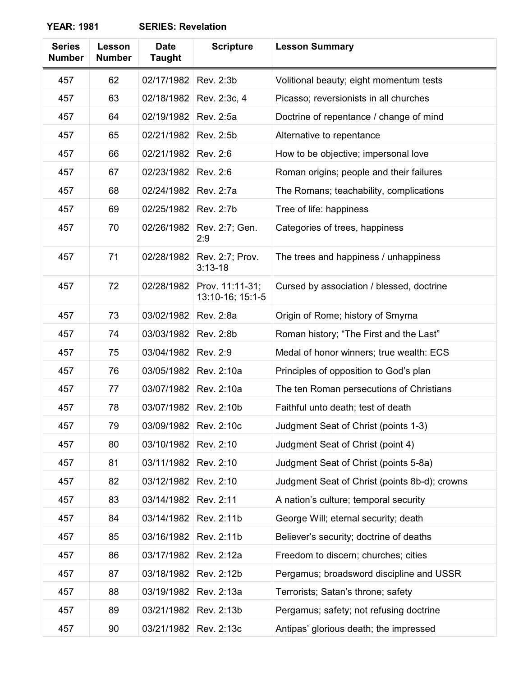| <b>SERIES: Revelation</b> |
|---------------------------|
|---------------------------|

| <b>Series</b><br><b>Number</b> | Lesson<br><b>Number</b> | <b>Date</b><br><b>Taught</b> | <b>Scripture</b>                    | <b>Lesson Summary</b>                         |
|--------------------------------|-------------------------|------------------------------|-------------------------------------|-----------------------------------------------|
| 457                            | 62                      | 02/17/1982                   | Rev. 2:3b                           | Volitional beauty; eight momentum tests       |
| 457                            | 63                      | 02/18/1982                   | Rev. 2:3c, 4                        | Picasso; reversionists in all churches        |
| 457                            | 64                      | 02/19/1982                   | Rev. 2:5a                           | Doctrine of repentance / change of mind       |
| 457                            | 65                      | 02/21/1982                   | Rev. 2:5b                           | Alternative to repentance                     |
| 457                            | 66                      | 02/21/1982                   | Rev. 2:6                            | How to be objective; impersonal love          |
| 457                            | 67                      | 02/23/1982                   | Rev. 2:6                            | Roman origins; people and their failures      |
| 457                            | 68                      | 02/24/1982                   | Rev. 2:7a                           | The Romans; teachability, complications       |
| 457                            | 69                      | 02/25/1982                   | Rev. 2:7b                           | Tree of life: happiness                       |
| 457                            | 70                      | 02/26/1982                   | Rev. 2:7; Gen.<br>2:9               | Categories of trees, happiness                |
| 457                            | 71                      | 02/28/1982                   | Rev. 2:7; Prov.<br>$3:13 - 18$      | The trees and happiness / unhappiness         |
| 457                            | 72                      | 02/28/1982                   | Prov. 11:11-31;<br>13:10-16; 15:1-5 | Cursed by association / blessed, doctrine     |
| 457                            | 73                      | 03/02/1982                   | Rev. 2:8a                           | Origin of Rome; history of Smyrna             |
| 457                            | 74                      | 03/03/1982                   | Rev. 2:8b                           | Roman history; "The First and the Last"       |
| 457                            | 75                      | 03/04/1982                   | Rev. 2:9                            | Medal of honor winners; true wealth: ECS      |
| 457                            | 76                      | 03/05/1982                   | Rev. 2:10a                          | Principles of opposition to God's plan        |
| 457                            | 77                      | 03/07/1982                   | Rev. 2:10a                          | The ten Roman persecutions of Christians      |
| 457                            | 78                      | 03/07/1982                   | Rev. 2:10b                          | Faithful unto death; test of death            |
| 457                            | 79                      | 03/09/1982                   | Rev. 2:10c                          | Judgment Seat of Christ (points 1-3)          |
| 457                            | 80                      | 03/10/1982                   | Rev. 2:10                           | Judgment Seat of Christ (point 4)             |
| 457                            | 81                      | 03/11/1982                   | Rev. 2:10                           | Judgment Seat of Christ (points 5-8a)         |
| 457                            | 82                      | 03/12/1982                   | Rev. 2:10                           | Judgment Seat of Christ (points 8b-d); crowns |
| 457                            | 83                      | 03/14/1982                   | Rev. 2:11                           | A nation's culture; temporal security         |
| 457                            | 84                      | 03/14/1982                   | Rev. 2:11b                          | George Will; eternal security; death          |
| 457                            | 85                      | 03/16/1982                   | Rev. 2:11b                          | Believer's security; doctrine of deaths       |
| 457                            | 86                      | 03/17/1982                   | Rev. 2:12a                          | Freedom to discern; churches; cities          |
| 457                            | 87                      | 03/18/1982                   | Rev. 2:12b                          | Pergamus; broadsword discipline and USSR      |
| 457                            | 88                      | 03/19/1982                   | Rev. 2:13a                          | Terrorists; Satan's throne; safety            |
| 457                            | 89                      | 03/21/1982                   | Rev. 2:13b                          | Pergamus; safety; not refusing doctrine       |
| 457                            | 90                      | 03/21/1982                   | Rev. 2:13c                          | Antipas' glorious death; the impressed        |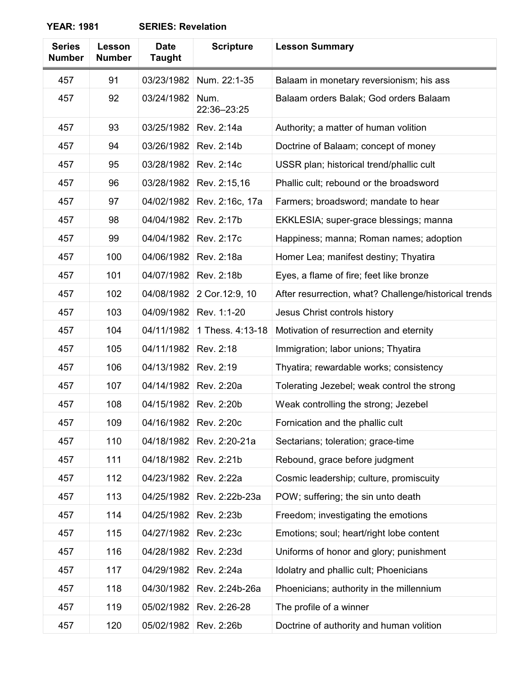| <b>Series</b><br><b>Number</b> | Lesson<br><b>Number</b> | <b>Date</b><br><b>Taught</b> | <b>Scripture</b>    | <b>Lesson Summary</b>                                 |
|--------------------------------|-------------------------|------------------------------|---------------------|-------------------------------------------------------|
| 457                            | 91                      | 03/23/1982                   | Num. 22:1-35        | Balaam in monetary reversionism; his ass              |
| 457                            | 92                      | 03/24/1982                   | Num.<br>22:36-23:25 | Balaam orders Balak; God orders Balaam                |
| 457                            | 93                      | 03/25/1982                   | Rev. 2:14a          | Authority; a matter of human volition                 |
| 457                            | 94                      | 03/26/1982                   | Rev. 2:14b          | Doctrine of Balaam; concept of money                  |
| 457                            | 95                      | 03/28/1982                   | Rev. 2:14c          | USSR plan; historical trend/phallic cult              |
| 457                            | 96                      | 03/28/1982                   | Rev. 2:15,16        | Phallic cult; rebound or the broadsword               |
| 457                            | 97                      | 04/02/1982                   | Rev. 2:16c, 17a     | Farmers; broadsword; mandate to hear                  |
| 457                            | 98                      | 04/04/1982                   | Rev. 2:17b          | EKKLESIA; super-grace blessings; manna                |
| 457                            | 99                      | 04/04/1982                   | Rev. 2:17c          | Happiness; manna; Roman names; adoption               |
| 457                            | 100                     | 04/06/1982                   | Rev. 2:18a          | Homer Lea; manifest destiny; Thyatira                 |
| 457                            | 101                     | 04/07/1982                   | Rev. 2:18b          | Eyes, a flame of fire; feet like bronze               |
| 457                            | 102                     | 04/08/1982                   | 2 Cor.12:9, 10      | After resurrection, what? Challenge/historical trends |
| 457                            | 103                     | 04/09/1982                   | Rev. 1:1-20         | Jesus Christ controls history                         |
| 457                            | 104                     | 04/11/1982                   | 1 Thess. 4:13-18    | Motivation of resurrection and eternity               |
| 457                            | 105                     | 04/11/1982                   | Rev. 2:18           | Immigration; labor unions; Thyatira                   |
| 457                            | 106                     | 04/13/1982                   | Rev. 2:19           | Thyatira; rewardable works; consistency               |
| 457                            | 107                     | 04/14/1982                   | Rev. 2:20a          | Tolerating Jezebel; weak control the strong           |
| 457                            | 108                     | 04/15/1982                   | Rev. 2:20b          | Weak controlling the strong; Jezebel                  |
| 457                            | 109                     | 04/16/1982                   | Rev. 2:20c          | Fornication and the phallic cult                      |
| 457                            | 110                     | 04/18/1982                   | Rev. 2:20-21a       | Sectarians; toleration; grace-time                    |
| 457                            | 111                     | 04/18/1982                   | Rev. 2:21b          | Rebound, grace before judgment                        |
| 457                            | 112                     | 04/23/1982                   | Rev. 2:22a          | Cosmic leadership; culture, promiscuity               |
| 457                            | 113                     | 04/25/1982                   | Rev. 2:22b-23a      | POW; suffering; the sin unto death                    |
| 457                            | 114                     | 04/25/1982                   | Rev. 2:23b          | Freedom; investigating the emotions                   |
| 457                            | 115                     | 04/27/1982                   | Rev. 2:23c          | Emotions; soul; heart/right lobe content              |
| 457                            | 116                     | 04/28/1982                   | Rev. 2:23d          | Uniforms of honor and glory; punishment               |
| 457                            | 117                     | 04/29/1982                   | Rev. 2:24a          | Idolatry and phallic cult; Phoenicians                |
| 457                            | 118                     | 04/30/1982                   | Rev. 2:24b-26a      | Phoenicians; authority in the millennium              |
| 457                            | 119                     | 05/02/1982                   | Rev. 2:26-28        | The profile of a winner                               |
| 457                            | 120                     | 05/02/1982                   | Rev. 2:26b          | Doctrine of authority and human volition              |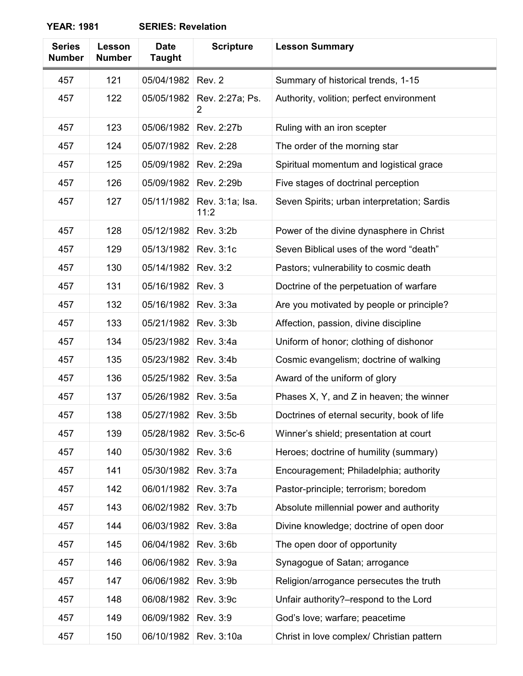| <b>Series</b><br><b>Number</b> | Lesson<br><b>Number</b> | <b>Date</b><br><b>Taught</b> | <b>Scripture</b>        | <b>Lesson Summary</b>                            |
|--------------------------------|-------------------------|------------------------------|-------------------------|--------------------------------------------------|
| 457                            | 121                     | 05/04/1982                   | Rev. 2                  | Summary of historical trends, 1-15               |
| 457                            | 122                     | 05/05/1982                   | Rev. 2:27a; Ps.<br>2    | Authority, volition; perfect environment         |
| 457                            | 123                     | 05/06/1982                   | Rev. 2:27b              | Ruling with an iron scepter                      |
| 457                            | 124                     | 05/07/1982                   | Rev. 2:28               | The order of the morning star                    |
| 457                            | 125                     | 05/09/1982                   | Rev. 2:29a              | Spiritual momentum and logistical grace          |
| 457                            | 126                     | 05/09/1982                   | Rev. 2:29b              | Five stages of doctrinal perception              |
| 457                            | 127                     | 05/11/1982                   | Rev. 3:1a; Isa.<br>11:2 | Seven Spirits; urban interpretation; Sardis      |
| 457                            | 128                     | 05/12/1982                   | Rev. 3:2b               | Power of the divine dynasphere in Christ         |
| 457                            | 129                     | 05/13/1982                   | Rev. 3:1c               | Seven Biblical uses of the word "death"          |
| 457                            | 130                     | 05/14/1982                   | Rev. 3:2                | Pastors; vulnerability to cosmic death           |
| 457                            | 131                     | 05/16/1982                   | Rev. 3                  | Doctrine of the perpetuation of warfare          |
| 457                            | 132                     | 05/16/1982                   | Rev. 3:3a               | Are you motivated by people or principle?        |
| 457                            | 133                     | 05/21/1982                   | Rev. 3:3b               | Affection, passion, divine discipline            |
| 457                            | 134                     | 05/23/1982                   | Rev. 3:4a               | Uniform of honor; clothing of dishonor           |
| 457                            | 135                     | 05/23/1982                   | Rev. 3:4b               | Cosmic evangelism; doctrine of walking           |
| 457                            | 136                     | 05/25/1982                   | Rev. 3:5a               | Award of the uniform of glory                    |
| 457                            | 137                     | 05/26/1982                   | Rev. 3:5a               | Phases $X$ , $Y$ , and $Z$ in heaven; the winner |
| 457                            | 138                     | 05/27/1982                   | Rev. 3:5b               | Doctrines of eternal security, book of life      |
| 457                            | 139                     | 05/28/1982                   | Rev. 3:5c-6             | Winner's shield; presentation at court           |
| 457                            | 140                     | 05/30/1982                   | Rev. 3:6                | Heroes; doctrine of humility (summary)           |
| 457                            | 141                     | 05/30/1982                   | Rev. 3:7a               | Encouragement; Philadelphia; authority           |
| 457                            | 142                     | 06/01/1982                   | Rev. 3:7a               | Pastor-principle; terrorism; boredom             |
| 457                            | 143                     | 06/02/1982                   | Rev. 3:7b               | Absolute millennial power and authority          |
| 457                            | 144                     | 06/03/1982                   | Rev. 3:8a               | Divine knowledge; doctrine of open door          |
| 457                            | 145                     | 06/04/1982                   | Rev. 3:6b               | The open door of opportunity                     |
| 457                            | 146                     | 06/06/1982                   | Rev. 3:9a               | Synagogue of Satan; arrogance                    |
| 457                            | 147                     | 06/06/1982                   | Rev. 3:9b               | Religion/arrogance persecutes the truth          |
| 457                            | 148                     | 06/08/1982                   | Rev. 3:9c               | Unfair authority?-respond to the Lord            |
| 457                            | 149                     | 06/09/1982                   | Rev. 3:9                | God's love; warfare; peacetime                   |
| 457                            | 150                     | 06/10/1982                   | Rev. 3:10a              | Christ in love complex/ Christian pattern        |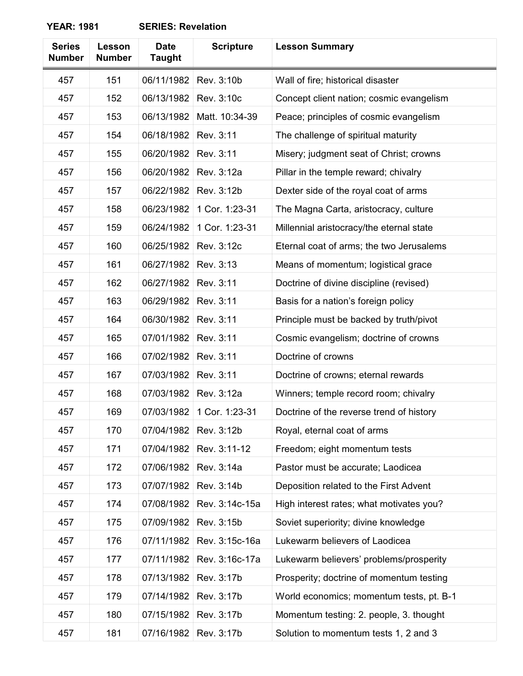| <b>Series</b><br><b>Number</b> | Lesson<br><b>Number</b> | <b>Date</b><br><b>Taught</b> | <b>Scripture</b> | <b>Lesson Summary</b>                    |
|--------------------------------|-------------------------|------------------------------|------------------|------------------------------------------|
| 457                            | 151                     | 06/11/1982                   | Rev. 3:10b       | Wall of fire; historical disaster        |
| 457                            | 152                     | 06/13/1982                   | Rev. 3:10c       | Concept client nation; cosmic evangelism |
| 457                            | 153                     | 06/13/1982                   | Matt. 10:34-39   | Peace; principles of cosmic evangelism   |
| 457                            | 154                     | 06/18/1982                   | Rev. 3:11        | The challenge of spiritual maturity      |
| 457                            | 155                     | 06/20/1982                   | Rev. 3:11        | Misery; judgment seat of Christ; crowns  |
| 457                            | 156                     | 06/20/1982                   | Rev. 3:12a       | Pillar in the temple reward; chivalry    |
| 457                            | 157                     | 06/22/1982                   | Rev. 3:12b       | Dexter side of the royal coat of arms    |
| 457                            | 158                     | 06/23/1982                   | 1 Cor. 1:23-31   | The Magna Carta, aristocracy, culture    |
| 457                            | 159                     | 06/24/1982                   | 1 Cor. 1:23-31   | Millennial aristocracy/the eternal state |
| 457                            | 160                     | 06/25/1982                   | Rev. 3:12c       | Eternal coat of arms; the two Jerusalems |
| 457                            | 161                     | 06/27/1982                   | Rev. 3:13        | Means of momentum; logistical grace      |
| 457                            | 162                     | 06/27/1982                   | Rev. 3:11        | Doctrine of divine discipline (revised)  |
| 457                            | 163                     | 06/29/1982                   | Rev. 3:11        | Basis for a nation's foreign policy      |
| 457                            | 164                     | 06/30/1982                   | Rev. 3:11        | Principle must be backed by truth/pivot  |
| 457                            | 165                     | 07/01/1982                   | Rev. 3:11        | Cosmic evangelism; doctrine of crowns    |
| 457                            | 166                     | 07/02/1982                   | Rev. 3:11        | Doctrine of crowns                       |
| 457                            | 167                     | 07/03/1982                   | Rev. 3:11        | Doctrine of crowns; eternal rewards      |
| 457                            | 168                     | 07/03/1982                   | Rev. 3:12a       | Winners; temple record room; chivalry    |
| 457                            | 169                     | 07/03/1982                   | 1 Cor. 1:23-31   | Doctrine of the reverse trend of history |
| 457                            | 170                     | 07/04/1982                   | Rev. 3:12b       | Royal, eternal coat of arms              |
| 457                            | 171                     | 07/04/1982                   | Rev. 3:11-12     | Freedom; eight momentum tests            |
| 457                            | 172                     | 07/06/1982                   | Rev. 3:14a       | Pastor must be accurate; Laodicea        |
| 457                            | 173                     | 07/07/1982                   | Rev. 3:14b       | Deposition related to the First Advent   |
| 457                            | 174                     | 07/08/1982                   | Rev. 3:14c-15a   | High interest rates; what motivates you? |
| 457                            | 175                     | 07/09/1982                   | Rev. 3:15b       | Soviet superiority; divine knowledge     |
| 457                            | 176                     | 07/11/1982                   | Rev. 3:15c-16a   | Lukewarm believers of Laodicea           |
| 457                            | 177                     | 07/11/1982                   | Rev. 3:16c-17a   | Lukewarm believers' problems/prosperity  |
| 457                            | 178                     | 07/13/1982                   | Rev. 3:17b       | Prosperity; doctrine of momentum testing |
| 457                            | 179                     | 07/14/1982                   | Rev. 3:17b       | World economics; momentum tests, pt. B-1 |
| 457                            | 180                     | 07/15/1982                   | Rev. 3:17b       | Momentum testing: 2. people, 3. thought  |
| 457                            | 181                     | 07/16/1982                   | Rev. 3:17b       | Solution to momentum tests 1, 2 and 3    |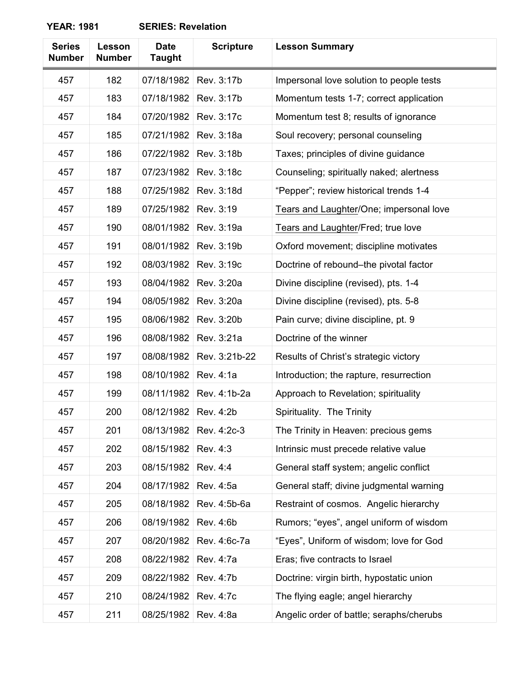| <b>Series</b><br><b>Number</b> | Lesson<br><b>Number</b> | <b>Date</b><br><b>Taught</b> | <b>Scripture</b> | <b>Lesson Summary</b>                    |
|--------------------------------|-------------------------|------------------------------|------------------|------------------------------------------|
| 457                            | 182                     | 07/18/1982                   | Rev. 3:17b       | Impersonal love solution to people tests |
| 457                            | 183                     | 07/18/1982                   | Rev. 3:17b       | Momentum tests 1-7; correct application  |
| 457                            | 184                     | 07/20/1982                   | Rev. 3:17c       | Momentum test 8; results of ignorance    |
| 457                            | 185                     | 07/21/1982                   | Rev. 3:18a       | Soul recovery; personal counseling       |
| 457                            | 186                     | 07/22/1982                   | Rev. 3:18b       | Taxes; principles of divine guidance     |
| 457                            | 187                     | 07/23/1982                   | Rev. 3:18c       | Counseling; spiritually naked; alertness |
| 457                            | 188                     | 07/25/1982                   | Rev. 3:18d       | "Pepper"; review historical trends 1-4   |
| 457                            | 189                     | 07/25/1982                   | Rev. 3:19        | Tears and Laughter/One; impersonal love  |
| 457                            | 190                     | 08/01/1982                   | Rev. 3:19a       | Tears and Laughter/Fred; true love       |
| 457                            | 191                     | 08/01/1982                   | Rev. 3:19b       | Oxford movement; discipline motivates    |
| 457                            | 192                     | 08/03/1982                   | Rev. 3:19c       | Doctrine of rebound-the pivotal factor   |
| 457                            | 193                     | 08/04/1982                   | Rev. 3:20a       | Divine discipline (revised), pts. 1-4    |
| 457                            | 194                     | 08/05/1982                   | Rev. 3:20a       | Divine discipline (revised), pts. 5-8    |
| 457                            | 195                     | 08/06/1982                   | Rev. 3:20b       | Pain curve; divine discipline, pt. 9     |
| 457                            | 196                     | 08/08/1982                   | Rev. 3:21a       | Doctrine of the winner                   |
| 457                            | 197                     | 08/08/1982                   | Rev. 3:21b-22    | Results of Christ's strategic victory    |
| 457                            | 198                     | 08/10/1982                   | Rev. 4:1a        | Introduction; the rapture, resurrection  |
| 457                            | 199                     | 08/11/1982                   | Rev. 4:1b-2a     | Approach to Revelation; spirituality     |
| 457                            | 200                     | 08/12/1982                   | Rev. 4:2b        | Spirituality. The Trinity                |
| 457                            | 201                     | 08/13/1982                   | Rev. 4:2c-3      | The Trinity in Heaven: precious gems     |
| 457                            | 202                     | 08/15/1982                   | Rev. 4:3         | Intrinsic must precede relative value    |
| 457                            | 203                     | 08/15/1982                   | Rev. 4:4         | General staff system; angelic conflict   |
| 457                            | 204                     | 08/17/1982                   | Rev. 4:5a        | General staff; divine judgmental warning |
| 457                            | 205                     | 08/18/1982                   | Rev. 4:5b-6a     | Restraint of cosmos. Angelic hierarchy   |
| 457                            | 206                     | 08/19/1982                   | Rev. 4:6b        | Rumors; "eyes", angel uniform of wisdom  |
| 457                            | 207                     | 08/20/1982                   | Rev. 4:6c-7a     | "Eyes", Uniform of wisdom; love for God  |
| 457                            | 208                     | 08/22/1982                   | Rev. 4:7a        | Eras; five contracts to Israel           |
| 457                            | 209                     | 08/22/1982                   | Rev. 4:7b        | Doctrine: virgin birth, hypostatic union |
| 457                            | 210                     | 08/24/1982                   | Rev. 4:7c        | The flying eagle; angel hierarchy        |
| 457                            | 211                     | 08/25/1982                   | Rev. 4:8a        | Angelic order of battle; seraphs/cherubs |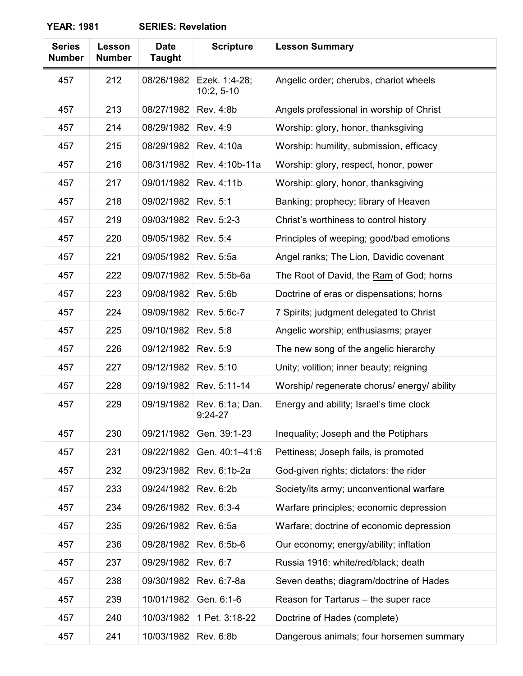| <b>Series</b><br><b>Number</b> | Lesson<br><b>Number</b> | <b>Date</b><br><b>Taught</b> | <b>Scripture</b>              | <b>Lesson Summary</b>                       |
|--------------------------------|-------------------------|------------------------------|-------------------------------|---------------------------------------------|
| 457                            | 212                     | 08/26/1982                   | Ezek. 1:4-28;<br>$10:2, 5-10$ | Angelic order; cherubs, chariot wheels      |
| 457                            | 213                     | 08/27/1982                   | Rev. 4:8b                     | Angels professional in worship of Christ    |
| 457                            | 214                     | 08/29/1982                   | Rev. 4:9                      | Worship: glory, honor, thanksgiving         |
| 457                            | 215                     | 08/29/1982                   | Rev. 4:10a                    | Worship: humility, submission, efficacy     |
| 457                            | 216                     | 08/31/1982                   | Rev. 4:10b-11a                | Worship: glory, respect, honor, power       |
| 457                            | 217                     | 09/01/1982                   | Rev. 4:11b                    | Worship: glory, honor, thanksgiving         |
| 457                            | 218                     | 09/02/1982                   | Rev. 5:1                      | Banking; prophecy; library of Heaven        |
| 457                            | 219                     | 09/03/1982                   | Rev. 5:2-3                    | Christ's worthiness to control history      |
| 457                            | 220                     | 09/05/1982                   | Rev. 5:4                      | Principles of weeping; good/bad emotions    |
| 457                            | 221                     | 09/05/1982                   | Rev. 5:5a                     | Angel ranks; The Lion, Davidic covenant     |
| 457                            | 222                     | 09/07/1982                   | Rev. 5:5b-6a                  | The Root of David, the Ram of God; horns    |
| 457                            | 223                     | 09/08/1982                   | Rev. 5:6b                     | Doctrine of eras or dispensations; horns    |
| 457                            | 224                     | 09/09/1982                   | Rev. 5:6c-7                   | 7 Spirits; judgment delegated to Christ     |
| 457                            | 225                     | 09/10/1982                   | Rev. 5:8                      | Angelic worship; enthusiasms; prayer        |
| 457                            | 226                     | 09/12/1982                   | Rev. 5:9                      | The new song of the angelic hierarchy       |
| 457                            | 227                     | 09/12/1982                   | Rev. 5:10                     | Unity; volition; inner beauty; reigning     |
| 457                            | 228                     | 09/19/1982                   | Rev. 5:11-14                  | Worship/ regenerate chorus/ energy/ ability |
| 457                            | 229                     | 09/19/1982                   | Rev. 6:1a; Dan.<br>$9:24-27$  | Energy and ability; Israel's time clock     |
| 457                            | 230                     | 09/21/1982                   | Gen. 39:1-23                  | Inequality; Joseph and the Potiphars        |
| 457                            | 231                     | 09/22/1982                   | Gen. 40:1-41:6                | Pettiness; Joseph fails, is promoted        |
| 457                            | 232                     | 09/23/1982                   | Rev. 6:1b-2a                  | God-given rights; dictators: the rider      |
| 457                            | 233                     | 09/24/1982                   | Rev. 6:2b                     | Society/its army; unconventional warfare    |
| 457                            | 234                     | 09/26/1982                   | Rev. 6:3-4                    | Warfare principles; economic depression     |
| 457                            | 235                     | 09/26/1982                   | Rev. 6:5a                     | Warfare; doctrine of economic depression    |
| 457                            | 236                     | 09/28/1982                   | Rev. 6:5b-6                   | Our economy; energy/ability; inflation      |
| 457                            | 237                     | 09/29/1982                   | Rev. 6:7                      | Russia 1916: white/red/black; death         |
| 457                            | 238                     | 09/30/1982                   | Rev. 6:7-8a                   | Seven deaths; diagram/doctrine of Hades     |
| 457                            | 239                     | 10/01/1982                   | Gen. 6:1-6                    | Reason for Tartarus - the super race        |
| 457                            | 240                     | 10/03/1982                   | 1 Pet. 3:18-22                | Doctrine of Hades (complete)                |
| 457                            | 241                     | 10/03/1982                   | Rev. 6:8b                     | Dangerous animals; four horsemen summary    |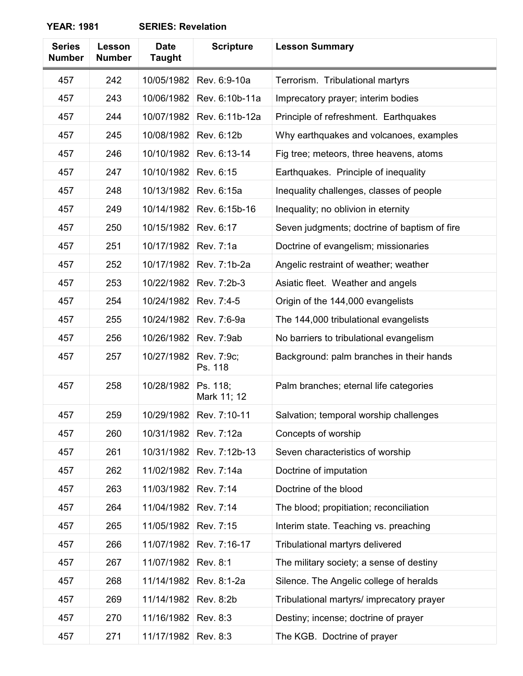| <b>Series</b> | Lesson        | <b>Date</b>   | <b>Scripture</b>        | <b>Lesson Summary</b>                        |
|---------------|---------------|---------------|-------------------------|----------------------------------------------|
| <b>Number</b> | <b>Number</b> | <b>Taught</b> |                         |                                              |
| 457           | 242           | 10/05/1982    | Rev. 6:9-10a            | Terrorism. Tribulational martyrs             |
| 457           | 243           | 10/06/1982    | Rev. 6:10b-11a          | Imprecatory prayer; interim bodies           |
| 457           | 244           | 10/07/1982    | Rev. 6:11b-12a          | Principle of refreshment. Earthquakes        |
| 457           | 245           | 10/08/1982    | Rev. 6:12b              | Why earthquakes and volcanoes, examples      |
| 457           | 246           | 10/10/1982    | Rev. 6:13-14            | Fig tree; meteors, three heavens, atoms      |
| 457           | 247           | 10/10/1982    | Rev. 6:15               | Earthquakes. Principle of inequality         |
| 457           | 248           | 10/13/1982    | Rev. 6:15a              | Inequality challenges, classes of people     |
| 457           | 249           | 10/14/1982    | Rev. 6:15b-16           | Inequality; no oblivion in eternity          |
| 457           | 250           | 10/15/1982    | Rev. 6:17               | Seven judgments; doctrine of baptism of fire |
| 457           | 251           | 10/17/1982    | Rev. 7:1a               | Doctrine of evangelism; missionaries         |
| 457           | 252           | 10/17/1982    | Rev. 7:1b-2a            | Angelic restraint of weather; weather        |
| 457           | 253           | 10/22/1982    | Rev. 7:2b-3             | Asiatic fleet. Weather and angels            |
| 457           | 254           | 10/24/1982    | Rev. 7:4-5              | Origin of the 144,000 evangelists            |
| 457           | 255           | 10/24/1982    | Rev. 7:6-9a             | The 144,000 tribulational evangelists        |
| 457           | 256           | 10/26/1982    | Rev. 7:9ab              | No barriers to tribulational evangelism      |
| 457           | 257           | 10/27/1982    | Rev. 7:9c;<br>Ps. 118   | Background: palm branches in their hands     |
| 457           | 258           | 10/28/1982    | Ps. 118;<br>Mark 11; 12 | Palm branches; eternal life categories       |
| 457           | 259           | 10/29/1982    | Rev. 7:10-11            | Salvation; temporal worship challenges       |
| 457           | 260           | 10/31/1982    | Rev. 7:12a              | Concepts of worship                          |
| 457           | 261           | 10/31/1982    | Rev. 7:12b-13           | Seven characteristics of worship             |
| 457           | 262           | 11/02/1982    | Rev. 7:14a              | Doctrine of imputation                       |
| 457           | 263           | 11/03/1982    | Rev. 7:14               | Doctrine of the blood                        |
| 457           | 264           | 11/04/1982    | Rev. 7:14               | The blood; propitiation; reconciliation      |
| 457           | 265           | 11/05/1982    | Rev. 7:15               | Interim state. Teaching vs. preaching        |
| 457           | 266           | 11/07/1982    | Rev. 7:16-17            | Tribulational martyrs delivered              |
| 457           | 267           | 11/07/1982    | Rev. 8:1                | The military society; a sense of destiny     |
| 457           | 268           | 11/14/1982    | Rev. 8:1-2a             | Silence. The Angelic college of heralds      |
| 457           | 269           | 11/14/1982    | Rev. 8:2b               | Tribulational martyrs/ imprecatory prayer    |
| 457           | 270           | 11/16/1982    | Rev. 8:3                | Destiny; incense; doctrine of prayer         |
| 457           | 271           | 11/17/1982    | Rev. 8:3                | The KGB. Doctrine of prayer                  |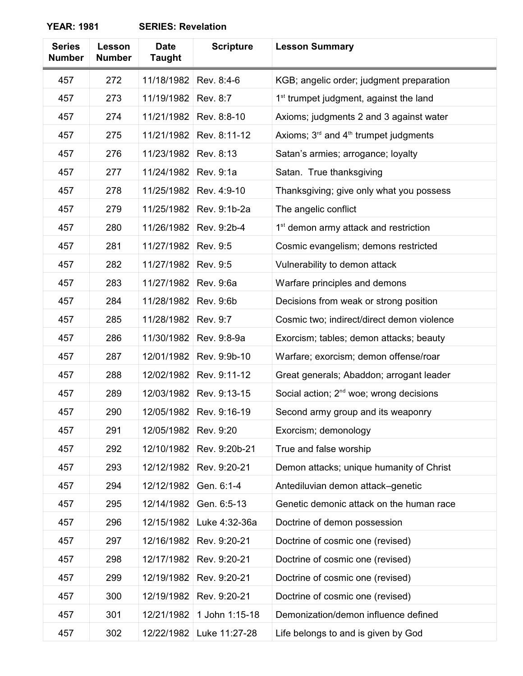## **YEAR: 1981**

| <b>SERIES: Revelation</b> |
|---------------------------|
|---------------------------|

| <b>Series</b><br><b>Number</b> | Lesson<br><b>Number</b> | <b>Date</b><br><b>Taught</b> | <b>Scripture</b> | <b>Lesson Summary</b>                               |
|--------------------------------|-------------------------|------------------------------|------------------|-----------------------------------------------------|
| 457                            | 272                     | 11/18/1982                   | Rev. 8:4-6       | KGB; angelic order; judgment preparation            |
| 457                            | 273                     | 11/19/1982                   | Rev. 8:7         | 1 <sup>st</sup> trumpet judgment, against the land  |
| 457                            | 274                     | 11/21/1982                   | Rev. 8:8-10      | Axioms; judgments 2 and 3 against water             |
| 457                            | 275                     | 11/21/1982                   | Rev. 8:11-12     | Axioms; $3rd$ and $4th$ trumpet judgments           |
| 457                            | 276                     | 11/23/1982                   | Rev. 8:13        | Satan's armies; arrogance; loyalty                  |
| 457                            | 277                     | 11/24/1982                   | Rev. 9:1a        | Satan. True thanksgiving                            |
| 457                            | 278                     | 11/25/1982                   | Rev. 4:9-10      | Thanksgiving; give only what you possess            |
| 457                            | 279                     | 11/25/1982                   | Rev. 9:1b-2a     | The angelic conflict                                |
| 457                            | 280                     | 11/26/1982                   | Rev. 9:2b-4      | 1 <sup>st</sup> demon army attack and restriction   |
| 457                            | 281                     | 11/27/1982                   | Rev. 9:5         | Cosmic evangelism; demons restricted                |
| 457                            | 282                     | 11/27/1982                   | Rev. 9:5         | Vulnerability to demon attack                       |
| 457                            | 283                     | 11/27/1982                   | Rev. 9:6a        | Warfare principles and demons                       |
| 457                            | 284                     | 11/28/1982                   | Rev. 9:6b        | Decisions from weak or strong position              |
| 457                            | 285                     | 11/28/1982                   | Rev. 9:7         | Cosmic two; indirect/direct demon violence          |
| 457                            | 286                     | 11/30/1982                   | Rev. 9:8-9a      | Exorcism; tables; demon attacks; beauty             |
| 457                            | 287                     | 12/01/1982                   | Rev. 9:9b-10     | Warfare; exorcism; demon offense/roar               |
| 457                            | 288                     | 12/02/1982                   | Rev. 9:11-12     | Great generals; Abaddon; arrogant leader            |
| 457                            | 289                     | 12/03/1982                   | Rev. 9:13-15     | Social action; 2 <sup>nd</sup> woe; wrong decisions |
| 457                            | 290                     | 12/05/1982                   | Rev. 9:16-19     | Second army group and its weaponry                  |
| 457                            | 291                     | 12/05/1982                   | Rev. 9:20        | Exorcism; demonology                                |
| 457                            | 292                     | 12/10/1982                   | Rev. 9:20b-21    | True and false worship                              |
| 457                            | 293                     | 12/12/1982                   | Rev. 9:20-21     | Demon attacks; unique humanity of Christ            |
| 457                            | 294                     | 12/12/1982                   | Gen. 6:1-4       | Antediluvian demon attack-genetic                   |
| 457                            | 295                     | 12/14/1982                   | Gen. 6:5-13      | Genetic demonic attack on the human race            |
| 457                            | 296                     | 12/15/1982                   | Luke 4:32-36a    | Doctrine of demon possession                        |
| 457                            | 297                     | 12/16/1982                   | Rev. 9:20-21     | Doctrine of cosmic one (revised)                    |
| 457                            | 298                     | 12/17/1982                   | Rev. 9:20-21     | Doctrine of cosmic one (revised)                    |
| 457                            | 299                     | 12/19/1982                   | Rev. 9:20-21     | Doctrine of cosmic one (revised)                    |
| 457                            | 300                     | 12/19/1982                   | Rev. 9:20-21     | Doctrine of cosmic one (revised)                    |
| 457                            | 301                     | 12/21/1982                   | 1 John 1:15-18   | Demonization/demon influence defined                |
| 457                            | 302                     | 12/22/1982                   | Luke 11:27-28    | Life belongs to and is given by God                 |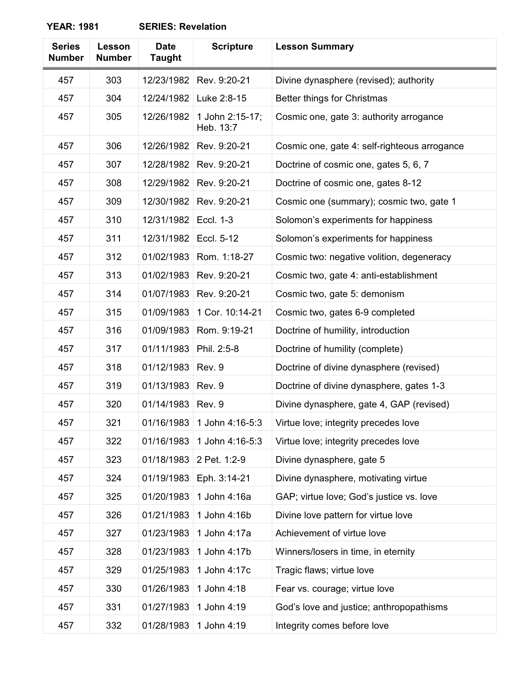| <b>Series</b><br><b>Number</b> | Lesson<br><b>Number</b> | <b>Date</b><br><b>Taught</b> | <b>Scripture</b>             | <b>Lesson Summary</b>                        |
|--------------------------------|-------------------------|------------------------------|------------------------------|----------------------------------------------|
| 457                            | 303                     | 12/23/1982                   | Rev. 9:20-21                 | Divine dynasphere (revised); authority       |
| 457                            | 304                     | 12/24/1982                   | Luke 2:8-15                  | Better things for Christmas                  |
| 457                            | 305                     | 12/26/1982                   | 1 John 2:15-17;<br>Heb. 13:7 | Cosmic one, gate 3: authority arrogance      |
| 457                            | 306                     | 12/26/1982                   | Rev. 9:20-21                 | Cosmic one, gate 4: self-righteous arrogance |
| 457                            | 307                     | 12/28/1982                   | Rev. 9:20-21                 | Doctrine of cosmic one, gates 5, 6, 7        |
| 457                            | 308                     | 12/29/1982                   | Rev. 9:20-21                 | Doctrine of cosmic one, gates 8-12           |
| 457                            | 309                     | 12/30/1982                   | Rev. 9:20-21                 | Cosmic one (summary); cosmic two, gate 1     |
| 457                            | 310                     | 12/31/1982                   | <b>Eccl. 1-3</b>             | Solomon's experiments for happiness          |
| 457                            | 311                     | 12/31/1982                   | Eccl. 5-12                   | Solomon's experiments for happiness          |
| 457                            | 312                     | 01/02/1983                   | Rom. 1:18-27                 | Cosmic two: negative volition, degeneracy    |
| 457                            | 313                     | 01/02/1983                   | Rev. 9:20-21                 | Cosmic two, gate 4: anti-establishment       |
| 457                            | 314                     | 01/07/1983                   | Rev. 9:20-21                 | Cosmic two, gate 5: demonism                 |
| 457                            | 315                     | 01/09/1983                   | 1 Cor. 10:14-21              | Cosmic two, gates 6-9 completed              |
| 457                            | 316                     | 01/09/1983                   | Rom. 9:19-21                 | Doctrine of humility, introduction           |
| 457                            | 317                     | 01/11/1983                   | Phil. 2:5-8                  | Doctrine of humility (complete)              |
| 457                            | 318                     | 01/12/1983                   | Rev. 9                       | Doctrine of divine dynasphere (revised)      |
| 457                            | 319                     | 01/13/1983                   | Rev. 9                       | Doctrine of divine dynasphere, gates 1-3     |
| 457                            | 320                     | 01/14/1983                   | Rev. 9                       | Divine dynasphere, gate 4, GAP (revised)     |
| 457                            | 321                     | 01/16/1983                   | 1 John 4:16-5:3              | Virtue love; integrity precedes love         |
| 457                            | 322                     | 01/16/1983                   | 1 John 4:16-5:3              | Virtue love; integrity precedes love         |
| 457                            | 323                     | 01/18/1983                   | 2 Pet. 1:2-9                 | Divine dynasphere, gate 5                    |
| 457                            | 324                     | 01/19/1983                   | Eph. 3:14-21                 | Divine dynasphere, motivating virtue         |
| 457                            | 325                     | 01/20/1983                   | 1 John 4:16a                 | GAP; virtue love; God's justice vs. love     |
| 457                            | 326                     | 01/21/1983                   | 1 John 4:16b                 | Divine love pattern for virtue love          |
| 457                            | 327                     | 01/23/1983                   | 1 John 4:17a                 | Achievement of virtue love                   |
| 457                            | 328                     | 01/23/1983                   | 1 John 4:17b                 | Winners/losers in time, in eternity          |
| 457                            | 329                     | 01/25/1983                   | 1 John 4:17c                 | Tragic flaws; virtue love                    |
| 457                            | 330                     | 01/26/1983                   | 1 John 4:18                  | Fear vs. courage; virtue love                |
| 457                            | 331                     | 01/27/1983                   | 1 John 4:19                  | God's love and justice; anthropopathisms     |
| 457                            | 332                     | 01/28/1983                   | 1 John 4:19                  | Integrity comes before love                  |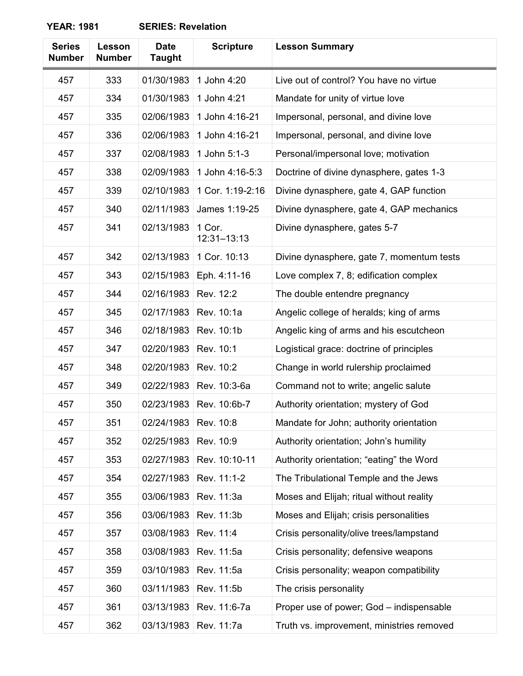| <b>Series</b><br><b>Number</b> | Lesson<br><b>Number</b> | <b>Date</b><br><b>Taught</b> | <b>Scripture</b>          | <b>Lesson Summary</b>                     |
|--------------------------------|-------------------------|------------------------------|---------------------------|-------------------------------------------|
| 457                            | 333                     | 01/30/1983                   | 1 John 4:20               | Live out of control? You have no virtue   |
| 457                            | 334                     | 01/30/1983                   | 1 John 4:21               | Mandate for unity of virtue love          |
| 457                            | 335                     | 02/06/1983                   | 1 John 4:16-21            | Impersonal, personal, and divine love     |
| 457                            | 336                     | 02/06/1983                   | 1 John 4:16-21            | Impersonal, personal, and divine love     |
| 457                            | 337                     | 02/08/1983                   | 1 John 5:1-3              | Personal/impersonal love; motivation      |
| 457                            | 338                     | 02/09/1983                   | 1 John 4:16-5:3           | Doctrine of divine dynasphere, gates 1-3  |
| 457                            | 339                     | 02/10/1983                   | 1 Cor. 1:19-2:16          | Divine dynasphere, gate 4, GAP function   |
| 457                            | 340                     | 02/11/1983                   | James 1:19-25             | Divine dynasphere, gate 4, GAP mechanics  |
| 457                            | 341                     | 02/13/1983                   | 1 Cor.<br>$12:31 - 13:13$ | Divine dynasphere, gates 5-7              |
| 457                            | 342                     | 02/13/1983                   | 1 Cor. 10:13              | Divine dynasphere, gate 7, momentum tests |
| 457                            | 343                     | 02/15/1983                   | Eph. 4:11-16              | Love complex 7, 8; edification complex    |
| 457                            | 344                     | 02/16/1983                   | Rev. 12:2                 | The double entendre pregnancy             |
| 457                            | 345                     | 02/17/1983                   | Rev. 10:1a                | Angelic college of heralds; king of arms  |
| 457                            | 346                     | 02/18/1983                   | Rev. 10:1b                | Angelic king of arms and his escutcheon   |
| 457                            | 347                     | 02/20/1983                   | Rev. 10:1                 | Logistical grace: doctrine of principles  |
| 457                            | 348                     | 02/20/1983                   | Rev. 10:2                 | Change in world rulership proclaimed      |
| 457                            | 349                     | 02/22/1983                   | Rev. 10:3-6a              | Command not to write; angelic salute      |
| 457                            | 350                     | 02/23/1983                   | Rev. 10:6b-7              | Authority orientation; mystery of God     |
| 457                            | 351                     | 02/24/1983                   | Rev. 10:8                 | Mandate for John; authority orientation   |
| 457                            | 352                     | 02/25/1983                   | Rev. 10:9                 | Authority orientation; John's humility    |
| 457                            | 353                     | 02/27/1983                   | Rev. 10:10-11             | Authority orientation; "eating" the Word  |
| 457                            | 354                     | 02/27/1983                   | Rev. 11:1-2               | The Tribulational Temple and the Jews     |
| 457                            | 355                     | 03/06/1983                   | Rev. 11:3a                | Moses and Elijah; ritual without reality  |
| 457                            | 356                     | 03/06/1983                   | Rev. 11:3b                | Moses and Elijah; crisis personalities    |
| 457                            | 357                     | 03/08/1983                   | Rev. 11:4                 | Crisis personality/olive trees/lampstand  |
| 457                            | 358                     | 03/08/1983                   | Rev. 11:5a                | Crisis personality; defensive weapons     |
| 457                            | 359                     | 03/10/1983                   | Rev. 11:5a                | Crisis personality; weapon compatibility  |
| 457                            | 360                     | 03/11/1983                   | Rev. 11:5b                | The crisis personality                    |
| 457                            | 361                     | 03/13/1983                   | Rev. 11:6-7a              | Proper use of power; God - indispensable  |
| 457                            | 362                     | 03/13/1983                   | Rev. 11:7a                | Truth vs. improvement, ministries removed |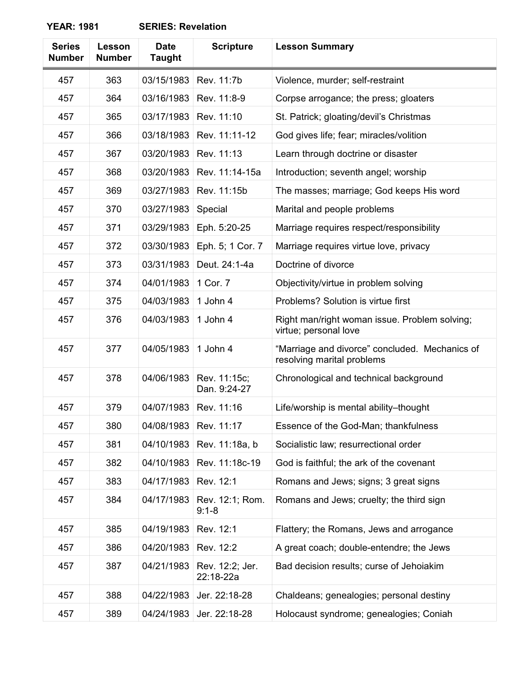| <b>Series</b><br><b>Number</b> | Lesson<br><b>Number</b> | <b>Date</b><br><b>Taught</b> | <b>Scripture</b>             | <b>Lesson Summary</b>                                                        |
|--------------------------------|-------------------------|------------------------------|------------------------------|------------------------------------------------------------------------------|
| 457                            | 363                     | 03/15/1983                   | Rev. 11:7b                   | Violence, murder; self-restraint                                             |
| 457                            | 364                     | 03/16/1983                   | Rev. 11:8-9                  | Corpse arrogance; the press; gloaters                                        |
| 457                            | 365                     | 03/17/1983                   | Rev. 11:10                   | St. Patrick; gloating/devil's Christmas                                      |
| 457                            | 366                     | 03/18/1983                   | Rev. 11:11-12                | God gives life; fear; miracles/volition                                      |
| 457                            | 367                     | 03/20/1983                   | Rev. 11:13                   | Learn through doctrine or disaster                                           |
| 457                            | 368                     | 03/20/1983                   | Rev. 11:14-15a               | Introduction; seventh angel; worship                                         |
| 457                            | 369                     | 03/27/1983                   | Rev. 11:15b                  | The masses; marriage; God keeps His word                                     |
| 457                            | 370                     | 03/27/1983                   | Special                      | Marital and people problems                                                  |
| 457                            | 371                     | 03/29/1983                   | Eph. 5:20-25                 | Marriage requires respect/responsibility                                     |
| 457                            | 372                     | 03/30/1983                   | Eph. 5; 1 Cor. 7             | Marriage requires virtue love, privacy                                       |
| 457                            | 373                     | 03/31/1983                   | Deut. 24:1-4a                | Doctrine of divorce                                                          |
| 457                            | 374                     | 04/01/1983                   | 1 Cor. 7                     | Objectivity/virtue in problem solving                                        |
| 457                            | 375                     | 04/03/1983                   | 1 John 4                     | Problems? Solution is virtue first                                           |
| 457                            | 376                     | 04/03/1983                   | 1 John 4                     | Right man/right woman issue. Problem solving;<br>virtue; personal love       |
| 457                            | 377                     | 04/05/1983                   | 1 John 4                     | "Marriage and divorce" concluded. Mechanics of<br>resolving marital problems |
| 457                            | 378                     | 04/06/1983                   | Rev. 11:15c;<br>Dan. 9:24-27 | Chronological and technical background                                       |
| 457                            | 379                     | 04/07/1983                   | Rev. 11:16                   | Life/worship is mental ability-thought                                       |
| 457                            | 380                     | 04/08/1983                   | Rev. 11:17                   | Essence of the God-Man; thankfulness                                         |
| 457                            | 381                     | 04/10/1983                   | Rev. 11:18a, b               | Socialistic law; resurrectional order                                        |
| 457                            | 382                     | 04/10/1983                   | Rev. 11:18c-19               | God is faithful; the ark of the covenant                                     |
| 457                            | 383                     | 04/17/1983                   | Rev. 12:1                    | Romans and Jews; signs; 3 great signs                                        |
| 457                            | 384                     | 04/17/1983                   | Rev. 12:1; Rom.<br>$9:1 - 8$ | Romans and Jews; cruelty; the third sign                                     |
| 457                            | 385                     | 04/19/1983                   | Rev. 12:1                    | Flattery; the Romans, Jews and arrogance                                     |
| 457                            | 386                     | 04/20/1983                   | Rev. 12:2                    | A great coach; double-entendre; the Jews                                     |
| 457                            | 387                     | 04/21/1983                   | Rev. 12:2; Jer.<br>22:18-22a | Bad decision results; curse of Jehoiakim                                     |
| 457                            | 388                     | 04/22/1983                   | Jer. 22:18-28                | Chaldeans; genealogies; personal destiny                                     |
| 457                            | 389                     | 04/24/1983                   | Jer. 22:18-28                | Holocaust syndrome; genealogies; Coniah                                      |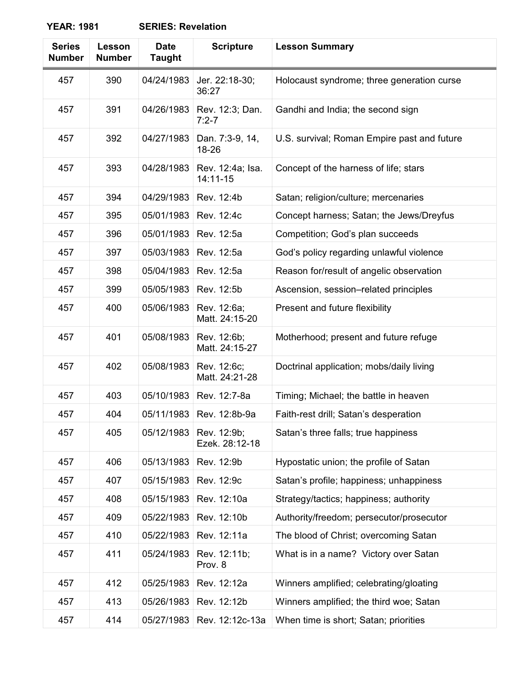| <b>Series</b><br><b>Number</b> | Lesson<br><b>Number</b> | <b>Date</b><br><b>Taught</b> | <b>Scripture</b>              | <b>Lesson Summary</b>                       |
|--------------------------------|-------------------------|------------------------------|-------------------------------|---------------------------------------------|
| 457                            | 390                     | 04/24/1983                   | Jer. 22:18-30;<br>36:27       | Holocaust syndrome; three generation curse  |
| 457                            | 391                     | 04/26/1983                   | Rev. 12:3; Dan.<br>$7:2 - 7$  | Gandhi and India; the second sign           |
| 457                            | 392                     | 04/27/1983                   | Dan. 7:3-9, 14,<br>18-26      | U.S. survival; Roman Empire past and future |
| 457                            | 393                     | 04/28/1983                   | Rev. 12:4a; Isa.<br>14:11-15  | Concept of the harness of life; stars       |
| 457                            | 394                     | 04/29/1983                   | Rev. 12:4b                    | Satan; religion/culture; mercenaries        |
| 457                            | 395                     | 05/01/1983                   | Rev. 12:4c                    | Concept harness; Satan; the Jews/Dreyfus    |
| 457                            | 396                     | 05/01/1983                   | Rev. 12:5a                    | Competition; God's plan succeeds            |
| 457                            | 397                     | 05/03/1983                   | Rev. 12:5a                    | God's policy regarding unlawful violence    |
| 457                            | 398                     | 05/04/1983                   | Rev. 12:5a                    | Reason for/result of angelic observation    |
| 457                            | 399                     | 05/05/1983                   | Rev. 12:5b                    | Ascension, session-related principles       |
| 457                            | 400                     | 05/06/1983                   | Rev. 12:6a;<br>Matt. 24:15-20 | Present and future flexibility              |
| 457                            | 401                     | 05/08/1983                   | Rev. 12:6b;<br>Matt. 24:15-27 | Motherhood; present and future refuge       |
| 457                            | 402                     | 05/08/1983                   | Rev. 12:6c;<br>Matt. 24:21-28 | Doctrinal application; mobs/daily living    |
| 457                            | 403                     | 05/10/1983                   | Rev. 12:7-8a                  | Timing; Michael; the battle in heaven       |
| 457                            | 404                     |                              | 05/11/1983   Rev. 12:8b-9a    | Faith-rest drill; Satan's desperation       |
| 457                            | 405                     | 05/12/1983                   | Rev. 12:9b;<br>Ezek. 28:12-18 | Satan's three falls; true happiness         |
| 457                            | 406                     | 05/13/1983                   | Rev. 12:9b                    | Hypostatic union; the profile of Satan      |
| 457                            | 407                     | 05/15/1983                   | Rev. 12:9c                    | Satan's profile; happiness; unhappiness     |
| 457                            | 408                     | 05/15/1983                   | Rev. 12:10a                   | Strategy/tactics; happiness; authority      |
| 457                            | 409                     | 05/22/1983                   | Rev. 12:10b                   | Authority/freedom; persecutor/prosecutor    |
| 457                            | 410                     | 05/22/1983                   | Rev. 12:11a                   | The blood of Christ; overcoming Satan       |
| 457                            | 411                     | 05/24/1983                   | Rev. 12:11b;<br>Prov. 8       | What is in a name? Victory over Satan       |
| 457                            | 412                     | 05/25/1983                   | Rev. 12:12a                   | Winners amplified; celebrating/gloating     |
| 457                            | 413                     | 05/26/1983                   | Rev. 12:12b                   | Winners amplified; the third woe; Satan     |
| 457                            | 414                     | 05/27/1983                   | Rev. 12:12c-13a               | When time is short; Satan; priorities       |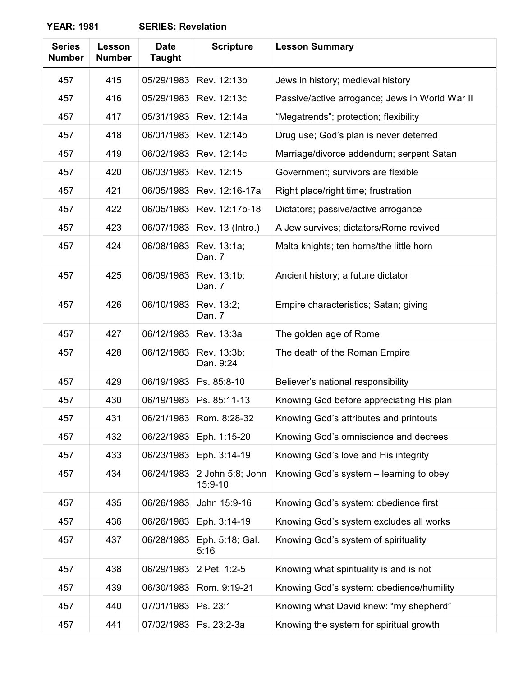| <b>Series</b><br><b>Number</b> | Lesson<br><b>Number</b> | <b>Date</b><br><b>Taught</b> | <b>Scripture</b>            | <b>Lesson Summary</b>                          |
|--------------------------------|-------------------------|------------------------------|-----------------------------|------------------------------------------------|
| 457                            | 415                     | 05/29/1983                   | Rev. 12:13b                 | Jews in history; medieval history              |
| 457                            | 416                     | 05/29/1983                   | Rev. 12:13c                 | Passive/active arrogance; Jews in World War II |
| 457                            | 417                     | 05/31/1983                   | Rev. 12:14a                 | "Megatrends"; protection; flexibility          |
| 457                            | 418                     | 06/01/1983                   | Rev. 12:14b                 | Drug use; God's plan is never deterred         |
| 457                            | 419                     | 06/02/1983                   | Rev. 12:14c                 | Marriage/divorce addendum; serpent Satan       |
| 457                            | 420                     | 06/03/1983                   | Rev. 12:15                  | Government; survivors are flexible             |
| 457                            | 421                     | 06/05/1983                   | Rev. 12:16-17a              | Right place/right time; frustration            |
| 457                            | 422                     | 06/05/1983                   | Rev. 12:17b-18              | Dictators; passive/active arrogance            |
| 457                            | 423                     | 06/07/1983                   | Rev. 13 (Intro.)            | A Jew survives; dictators/Rome revived         |
| 457                            | 424                     | 06/08/1983                   | Rev. 13:1a;<br>Dan. 7       | Malta knights; ten horns/the little horn       |
| 457                            | 425                     | 06/09/1983                   | Rev. 13:1b;<br>Dan. 7       | Ancient history; a future dictator             |
| 457                            | 426                     | 06/10/1983                   | Rev. 13:2;<br>Dan. 7        | Empire characteristics; Satan; giving          |
| 457                            | 427                     | 06/12/1983                   | Rev. 13:3a                  | The golden age of Rome                         |
| 457                            | 428                     | 06/12/1983                   | Rev. 13:3b;<br>Dan. 9:24    | The death of the Roman Empire                  |
| 457                            | 429                     | 06/19/1983                   | Ps. 85:8-10                 | Believer's national responsibility             |
| 457                            | 430                     | 06/19/1983                   | Ps. 85:11-13                | Knowing God before appreciating His plan       |
| 457                            | 431                     | 06/21/1983                   | Rom. 8:28-32                | Knowing God's attributes and printouts         |
| 457                            | 432                     | 06/22/1983                   | Eph. 1:15-20                | Knowing God's omniscience and decrees          |
| 457                            | 433                     | 06/23/1983                   | Eph. 3:14-19                | Knowing God's love and His integrity           |
| 457                            | 434                     | 06/24/1983                   | 2 John 5:8; John<br>15:9-10 | Knowing God's system - learning to obey        |
| 457                            | 435                     | 06/26/1983                   | John 15:9-16                | Knowing God's system: obedience first          |
| 457                            | 436                     | 06/26/1983                   | Eph. 3:14-19                | Knowing God's system excludes all works        |
| 457                            | 437                     | 06/28/1983                   | Eph. 5:18; Gal.<br>5:16     | Knowing God's system of spirituality           |
| 457                            | 438                     | 06/29/1983                   | 2 Pet. 1:2-5                | Knowing what spirituality is and is not        |
| 457                            | 439                     | 06/30/1983                   | Rom. 9:19-21                | Knowing God's system: obedience/humility       |
| 457                            | 440                     | 07/01/1983                   | Ps. 23:1                    | Knowing what David knew: "my shepherd"         |
| 457                            | 441                     | 07/02/1983                   | Ps. 23:2-3a                 | Knowing the system for spiritual growth        |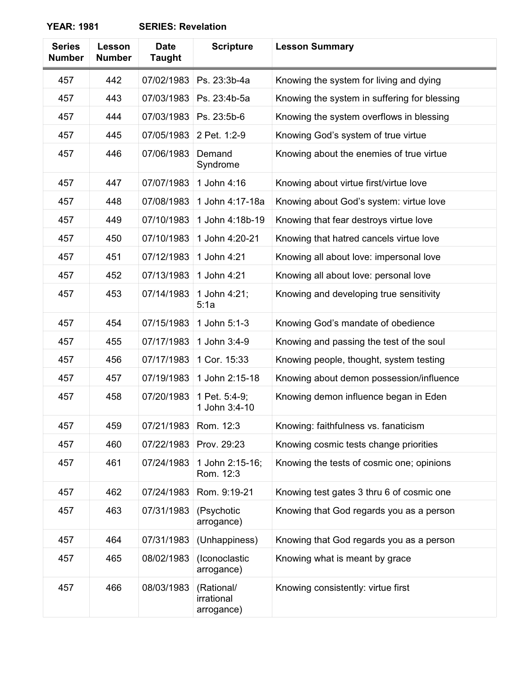| <b>Series</b><br><b>Number</b> | Lesson<br><b>Number</b> | <b>Date</b><br><b>Taught</b> | <b>Scripture</b>                       | <b>Lesson Summary</b>                        |
|--------------------------------|-------------------------|------------------------------|----------------------------------------|----------------------------------------------|
| 457                            | 442                     | 07/02/1983                   | Ps. 23:3b-4a                           | Knowing the system for living and dying      |
| 457                            | 443                     | 07/03/1983                   | Ps. 23:4b-5a                           | Knowing the system in suffering for blessing |
| 457                            | 444                     | 07/03/1983                   | Ps. 23:5b-6                            | Knowing the system overflows in blessing     |
| 457                            | 445                     | 07/05/1983                   | 2 Pet. 1:2-9                           | Knowing God's system of true virtue          |
| 457                            | 446                     | 07/06/1983                   | Demand<br>Syndrome                     | Knowing about the enemies of true virtue     |
| 457                            | 447                     | 07/07/1983                   | 1 John 4:16                            | Knowing about virtue first/virtue love       |
| 457                            | 448                     | 07/08/1983                   | 1 John 4:17-18a                        | Knowing about God's system: virtue love      |
| 457                            | 449                     | 07/10/1983                   | 1 John 4:18b-19                        | Knowing that fear destroys virtue love       |
| 457                            | 450                     | 07/10/1983                   | 1 John 4:20-21                         | Knowing that hatred cancels virtue love      |
| 457                            | 451                     | 07/12/1983                   | 1 John 4:21                            | Knowing all about love: impersonal love      |
| 457                            | 452                     | 07/13/1983                   | 1 John 4:21                            | Knowing all about love: personal love        |
| 457                            | 453                     | 07/14/1983                   | 1 John 4:21;<br>5:1a                   | Knowing and developing true sensitivity      |
| 457                            | 454                     | 07/15/1983                   | 1 John 5:1-3                           | Knowing God's mandate of obedience           |
| 457                            | 455                     | 07/17/1983                   | 1 John 3:4-9                           | Knowing and passing the test of the soul     |
| 457                            | 456                     | 07/17/1983                   | 1 Cor. 15:33                           | Knowing people, thought, system testing      |
| 457                            | 457                     | 07/19/1983                   | 1 John 2:15-18                         | Knowing about demon possession/influence     |
| 457                            | 458                     | 07/20/1983                   | 1 Pet. 5:4-9;<br>1 John 3:4-10         | Knowing demon influence began in Eden        |
| 457                            | 459                     | 07/21/1983                   | Rom. 12:3                              | Knowing: faithfulness vs. fanaticism         |
| 457                            | 460                     | 07/22/1983                   | Prov. 29:23                            | Knowing cosmic tests change priorities       |
| 457                            | 461                     | 07/24/1983                   | 1 John 2:15-16;<br>Rom. 12:3           | Knowing the tests of cosmic one; opinions    |
| 457                            | 462                     | 07/24/1983                   | Rom. 9:19-21                           | Knowing test gates 3 thru 6 of cosmic one    |
| 457                            | 463                     | 07/31/1983                   | (Psychotic<br>arrogance)               | Knowing that God regards you as a person     |
| 457                            | 464                     | 07/31/1983                   | (Unhappiness)                          | Knowing that God regards you as a person     |
| 457                            | 465                     | 08/02/1983                   | (Iconoclastic<br>arrogance)            | Knowing what is meant by grace               |
| 457                            | 466                     | 08/03/1983                   | (Rational/<br>irrational<br>arrogance) | Knowing consistently: virtue first           |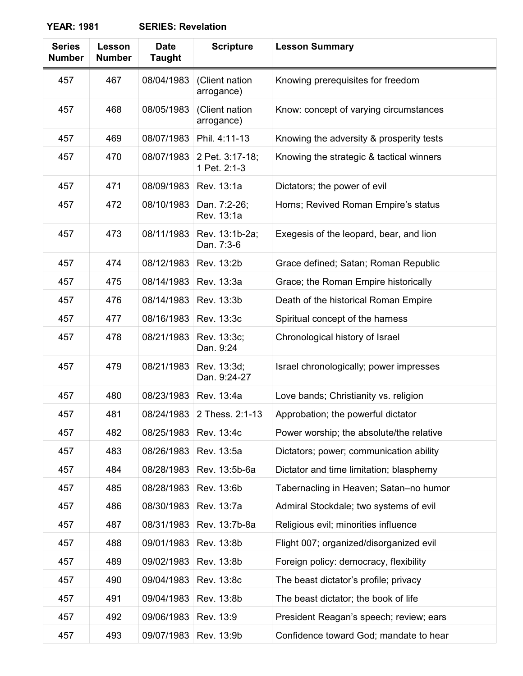| <b>Series</b><br><b>Number</b> | Lesson<br><b>Number</b> | <b>Date</b><br><b>Taught</b> | <b>Scripture</b>                | <b>Lesson Summary</b>                    |
|--------------------------------|-------------------------|------------------------------|---------------------------------|------------------------------------------|
| 457                            | 467                     | 08/04/1983                   | (Client nation<br>arrogance)    | Knowing prerequisites for freedom        |
| 457                            | 468                     | 08/05/1983                   | (Client nation<br>arrogance)    | Know: concept of varying circumstances   |
| 457                            | 469                     | 08/07/1983                   | Phil. 4:11-13                   | Knowing the adversity & prosperity tests |
| 457                            | 470                     | 08/07/1983                   | 2 Pet. 3:17-18;<br>1 Pet. 2:1-3 | Knowing the strategic & tactical winners |
| 457                            | 471                     | 08/09/1983                   | Rev. 13:1a                      | Dictators; the power of evil             |
| 457                            | 472                     | 08/10/1983                   | Dan. 7:2-26;<br>Rev. 13:1a      | Horns; Revived Roman Empire's status     |
| 457                            | 473                     | 08/11/1983                   | Rev. 13:1b-2a;<br>Dan. 7:3-6    | Exegesis of the leopard, bear, and lion  |
| 457                            | 474                     | 08/12/1983                   | Rev. 13:2b                      | Grace defined; Satan; Roman Republic     |
| 457                            | 475                     | 08/14/1983                   | Rev. 13:3a                      | Grace; the Roman Empire historically     |
| 457                            | 476                     | 08/14/1983                   | Rev. 13:3b                      | Death of the historical Roman Empire     |
| 457                            | 477                     | 08/16/1983                   | Rev. 13:3c                      | Spiritual concept of the harness         |
| 457                            | 478                     | 08/21/1983                   | Rev. 13:3c;<br>Dan. 9:24        | Chronological history of Israel          |
| 457                            | 479                     | 08/21/1983                   | Rev. 13:3d;<br>Dan. 9:24-27     | Israel chronologically; power impresses  |
| 457                            | 480                     | 08/23/1983                   | Rev. 13:4a                      | Love bands; Christianity vs. religion    |
| 457                            | 481                     | 08/24/1983                   | 2 Thess. 2:1-13                 | Approbation; the powerful dictator       |
| 457                            | 482                     | 08/25/1983                   | Rev. 13:4c                      | Power worship; the absolute/the relative |
| 457                            | 483                     | 08/26/1983                   | Rev. 13:5a                      | Dictators; power; communication ability  |
| 457                            | 484                     | 08/28/1983                   | Rev. 13:5b-6a                   | Dictator and time limitation; blasphemy  |
| 457                            | 485                     | 08/28/1983                   | Rev. 13:6b                      | Tabernacling in Heaven; Satan-no humor   |
| 457                            | 486                     | 08/30/1983                   | Rev. 13:7a                      | Admiral Stockdale; two systems of evil   |
| 457                            | 487                     | 08/31/1983                   | Rev. 13:7b-8a                   | Religious evil; minorities influence     |
| 457                            | 488                     | 09/01/1983                   | Rev. 13:8b                      | Flight 007; organized/disorganized evil  |
| 457                            | 489                     | 09/02/1983                   | Rev. 13:8b                      | Foreign policy: democracy, flexibility   |
| 457                            | 490                     | 09/04/1983                   | Rev. 13:8c                      | The beast dictator's profile; privacy    |
| 457                            | 491                     | 09/04/1983                   | Rev. 13:8b                      | The beast dictator; the book of life     |
| 457                            | 492                     | 09/06/1983                   | Rev. 13:9                       | President Reagan's speech; review; ears  |
| 457                            | 493                     | 09/07/1983                   | Rev. 13:9b                      | Confidence toward God; mandate to hear   |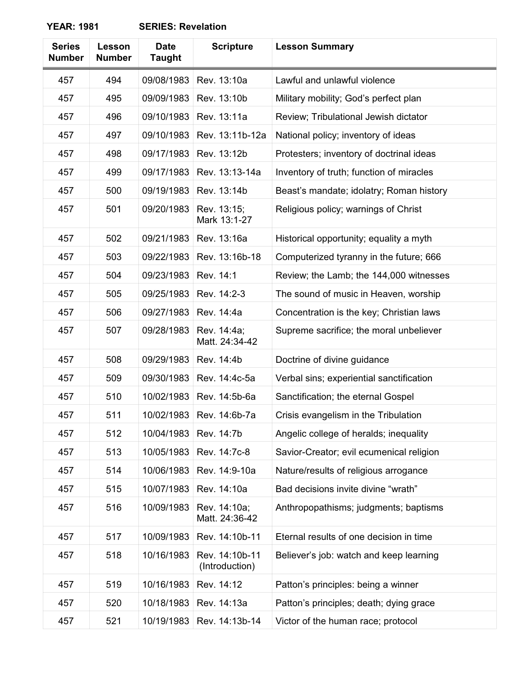| <b>Series</b><br><b>Number</b> | Lesson<br><b>Number</b> | <b>Date</b><br><b>Taught</b> | <b>Scripture</b>                 | <b>Lesson Summary</b>                    |
|--------------------------------|-------------------------|------------------------------|----------------------------------|------------------------------------------|
| 457                            | 494                     | 09/08/1983                   | Rev. 13:10a                      | Lawful and unlawful violence             |
| 457                            | 495                     | 09/09/1983                   | Rev. 13:10b                      | Military mobility; God's perfect plan    |
| 457                            | 496                     | 09/10/1983                   | Rev. 13:11a                      | Review; Tribulational Jewish dictator    |
| 457                            | 497                     | 09/10/1983                   | Rev. 13:11b-12a                  | National policy; inventory of ideas      |
| 457                            | 498                     | 09/17/1983                   | Rev. 13:12b                      | Protesters; inventory of doctrinal ideas |
| 457                            | 499                     | 09/17/1983                   | Rev. 13:13-14a                   | Inventory of truth; function of miracles |
| 457                            | 500                     | 09/19/1983                   | Rev. 13:14b                      | Beast's mandate; idolatry; Roman history |
| 457                            | 501                     | 09/20/1983                   | Rev. 13:15;<br>Mark 13:1-27      | Religious policy; warnings of Christ     |
| 457                            | 502                     | 09/21/1983                   | Rev. 13:16a                      | Historical opportunity; equality a myth  |
| 457                            | 503                     | 09/22/1983                   | Rev. 13:16b-18                   | Computerized tyranny in the future; 666  |
| 457                            | 504                     | 09/23/1983                   | Rev. 14:1                        | Review; the Lamb; the 144,000 witnesses  |
| 457                            | 505                     | 09/25/1983                   | Rev. 14:2-3                      | The sound of music in Heaven, worship    |
| 457                            | 506                     | 09/27/1983                   | Rev. 14:4a                       | Concentration is the key; Christian laws |
| 457                            | 507                     | 09/28/1983                   | Rev. 14:4a;<br>Matt. 24:34-42    | Supreme sacrifice; the moral unbeliever  |
| 457                            | 508                     | 09/29/1983                   | Rev. 14:4b                       | Doctrine of divine guidance              |
| 457                            | 509                     | 09/30/1983                   | Rev. 14:4c-5a                    | Verbal sins; experiential sanctification |
| 457                            | 510                     | 10/02/1983                   | Rev. 14:5b-6a                    | Sanctification; the eternal Gospel       |
| 457                            | 511                     | 10/02/1983                   | Rev. 14:6b-7a                    | Crisis evangelism in the Tribulation     |
| 457                            | 512                     | 10/04/1983                   | Rev. 14:7b                       | Angelic college of heralds; inequality   |
| 457                            | 513                     | 10/05/1983                   | Rev. 14:7c-8                     | Savior-Creator; evil ecumenical religion |
| 457                            | 514                     | 10/06/1983                   | Rev. 14:9-10a                    | Nature/results of religious arrogance    |
| 457                            | 515                     | 10/07/1983                   | Rev. 14:10a                      | Bad decisions invite divine "wrath"      |
| 457                            | 516                     | 10/09/1983                   | Rev. 14:10a;<br>Matt. 24:36-42   | Anthropopathisms; judgments; baptisms    |
| 457                            | 517                     | 10/09/1983                   | Rev. 14:10b-11                   | Eternal results of one decision in time  |
| 457                            | 518                     | 10/16/1983                   | Rev. 14:10b-11<br>(Introduction) | Believer's job: watch and keep learning  |
| 457                            | 519                     | 10/16/1983                   | Rev. 14:12                       | Patton's principles: being a winner      |
| 457                            | 520                     | 10/18/1983                   | Rev. 14:13a                      | Patton's principles; death; dying grace  |
| 457                            | 521                     | 10/19/1983                   | Rev. 14:13b-14                   | Victor of the human race; protocol       |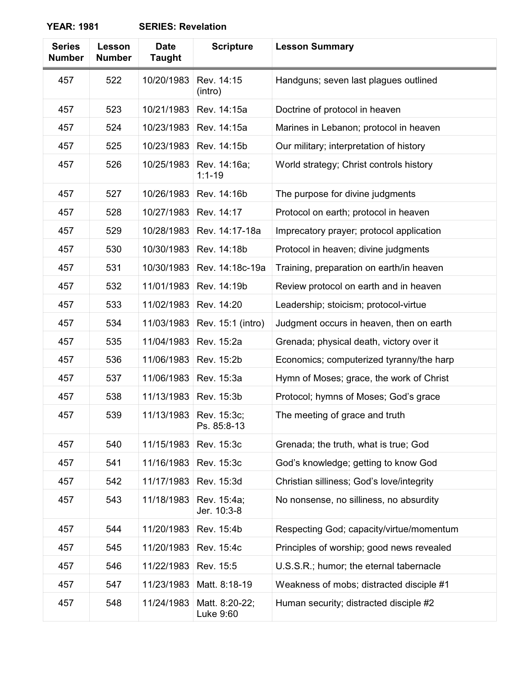| <b>Series</b><br><b>Number</b> | Lesson<br><b>Number</b> | <b>Date</b><br><b>Taught</b> | <b>Scripture</b>            | <b>Lesson Summary</b>                     |
|--------------------------------|-------------------------|------------------------------|-----------------------------|-------------------------------------------|
| 457                            | 522                     | 10/20/1983                   | Rev. 14:15<br>(intro)       | Handguns; seven last plagues outlined     |
| 457                            | 523                     | 10/21/1983                   | Rev. 14:15a                 | Doctrine of protocol in heaven            |
| 457                            | 524                     | 10/23/1983                   | Rev. 14:15a                 | Marines in Lebanon; protocol in heaven    |
| 457                            | 525                     | 10/23/1983                   | Rev. 14:15b                 | Our military; interpretation of history   |
| 457                            | 526                     | 10/25/1983                   | Rev. 14:16a;<br>$1:1 - 19$  | World strategy; Christ controls history   |
| 457                            | 527                     | 10/26/1983                   | Rev. 14:16b                 | The purpose for divine judgments          |
| 457                            | 528                     | 10/27/1983                   | Rev. 14:17                  | Protocol on earth; protocol in heaven     |
| 457                            | 529                     | 10/28/1983                   | Rev. 14:17-18a              | Imprecatory prayer; protocol application  |
| 457                            | 530                     | 10/30/1983                   | Rev. 14:18b                 | Protocol in heaven; divine judgments      |
| 457                            | 531                     | 10/30/1983                   | Rev. 14:18c-19a             | Training, preparation on earth/in heaven  |
| 457                            | 532                     | 11/01/1983                   | Rev. 14:19b                 | Review protocol on earth and in heaven    |
| 457                            | 533                     | 11/02/1983                   | Rev. 14:20                  | Leadership; stoicism; protocol-virtue     |
| 457                            | 534                     | 11/03/1983                   | Rev. 15:1 (intro)           | Judgment occurs in heaven, then on earth  |
| 457                            | 535                     | 11/04/1983                   | Rev. 15:2a                  | Grenada; physical death, victory over it  |
| 457                            | 536                     | 11/06/1983                   | Rev. 15:2b                  | Economics; computerized tyranny/the harp  |
| 457                            | 537                     | 11/06/1983                   | Rev. 15:3a                  | Hymn of Moses; grace, the work of Christ  |
| 457                            | 538                     | 11/13/1983                   | Rev. 15:3b                  | Protocol; hymns of Moses; God's grace     |
| 457                            | 539                     | 11/13/1983                   | Rev. 15:3c;<br>Ps. 85:8-13  | The meeting of grace and truth            |
| 457                            | 540                     | 11/15/1983                   | Rev. 15:3c                  | Grenada; the truth, what is true; God     |
| 457                            | 541                     | 11/16/1983                   | Rev. 15:3c                  | God's knowledge; getting to know God      |
| 457                            | 542                     | 11/17/1983                   | Rev. 15:3d                  | Christian silliness; God's love/integrity |
| 457                            | 543                     | 11/18/1983                   | Rev. 15:4a;<br>Jer. 10:3-8  | No nonsense, no silliness, no absurdity   |
| 457                            | 544                     | 11/20/1983                   | Rev. 15:4b                  | Respecting God; capacity/virtue/momentum  |
| 457                            | 545                     | 11/20/1983                   | Rev. 15:4c                  | Principles of worship; good news revealed |
| 457                            | 546                     | 11/22/1983                   | Rev. 15:5                   | U.S.S.R.; humor; the eternal tabernacle   |
| 457                            | 547                     | 11/23/1983                   | Matt. 8:18-19               | Weakness of mobs; distracted disciple #1  |
| 457                            | 548                     | 11/24/1983                   | Matt. 8:20-22;<br>Luke 9:60 | Human security; distracted disciple #2    |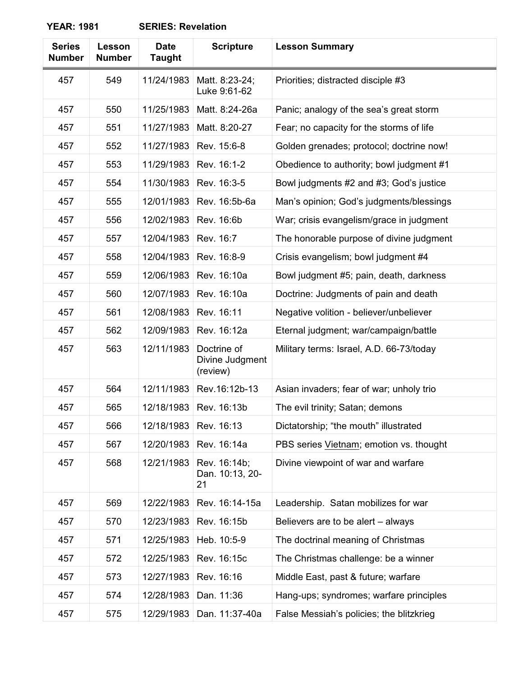| <b>Series</b><br><b>Number</b> | Lesson<br><b>Number</b> | <b>Date</b><br><b>Taught</b> | <b>Scripture</b>                           | <b>Lesson Summary</b>                    |
|--------------------------------|-------------------------|------------------------------|--------------------------------------------|------------------------------------------|
| 457                            | 549                     | 11/24/1983                   | Matt. 8:23-24;<br>Luke 9:61-62             | Priorities; distracted disciple #3       |
| 457                            | 550                     | 11/25/1983                   | Matt. 8:24-26a                             | Panic; analogy of the sea's great storm  |
| 457                            | 551                     | 11/27/1983                   | Matt. 8:20-27                              | Fear; no capacity for the storms of life |
| 457                            | 552                     | 11/27/1983                   | Rev. 15:6-8                                | Golden grenades; protocol; doctrine now! |
| 457                            | 553                     | 11/29/1983                   | Rev. 16:1-2                                | Obedience to authority; bowl judgment #1 |
| 457                            | 554                     | 11/30/1983                   | Rev. 16:3-5                                | Bowl judgments #2 and #3; God's justice  |
| 457                            | 555                     | 12/01/1983                   | Rev. 16:5b-6a                              | Man's opinion; God's judgments/blessings |
| 457                            | 556                     | 12/02/1983                   | Rev. 16:6b                                 | War; crisis evangelism/grace in judgment |
| 457                            | 557                     | 12/04/1983                   | Rev. 16:7                                  | The honorable purpose of divine judgment |
| 457                            | 558                     | 12/04/1983                   | Rev. 16:8-9                                | Crisis evangelism; bowl judgment #4      |
| 457                            | 559                     | 12/06/1983                   | Rev. 16:10a                                | Bowl judgment #5; pain, death, darkness  |
| 457                            | 560                     | 12/07/1983                   | Rev. 16:10a                                | Doctrine: Judgments of pain and death    |
| 457                            | 561                     | 12/08/1983                   | Rev. 16:11                                 | Negative volition - believer/unbeliever  |
| 457                            | 562                     | 12/09/1983                   | Rev. 16:12a                                | Eternal judgment; war/campaign/battle    |
| 457                            | 563                     | 12/11/1983                   | Doctrine of<br>Divine Judgment<br>(review) | Military terms: Israel, A.D. 66-73/today |
| 457                            | 564                     | 12/11/1983                   | Rev.16:12b-13                              | Asian invaders; fear of war; unholy trio |
| 457                            | 565                     | 12/18/1983                   | Rev. 16:13b                                | The evil trinity; Satan; demons          |
| 457                            | 566                     | 12/18/1983                   | Rev. 16:13                                 | Dictatorship; "the mouth" illustrated    |
| 457                            | 567                     | 12/20/1983                   | Rev. 16:14a                                | PBS series Vietnam; emotion vs. thought  |
| 457                            | 568                     | 12/21/1983                   | Rev. 16:14b;<br>Dan. 10:13, 20-<br>21      | Divine viewpoint of war and warfare      |
| 457                            | 569                     | 12/22/1983                   | Rev. 16:14-15a                             | Leadership. Satan mobilizes for war      |
| 457                            | 570                     | 12/23/1983                   | Rev. 16:15b                                | Believers are to be alert – always       |
| 457                            | 571                     | 12/25/1983                   | Heb. 10:5-9                                | The doctrinal meaning of Christmas       |
| 457                            | 572                     | 12/25/1983                   | Rev. 16:15c                                | The Christmas challenge: be a winner     |
| 457                            | 573                     | 12/27/1983                   | Rev. 16:16                                 | Middle East, past & future; warfare      |
| 457                            | 574                     | 12/28/1983                   | Dan. 11:36                                 | Hang-ups; syndromes; warfare principles  |
| 457                            | 575                     | 12/29/1983                   | Dan. 11:37-40a                             | False Messiah's policies; the blitzkrieg |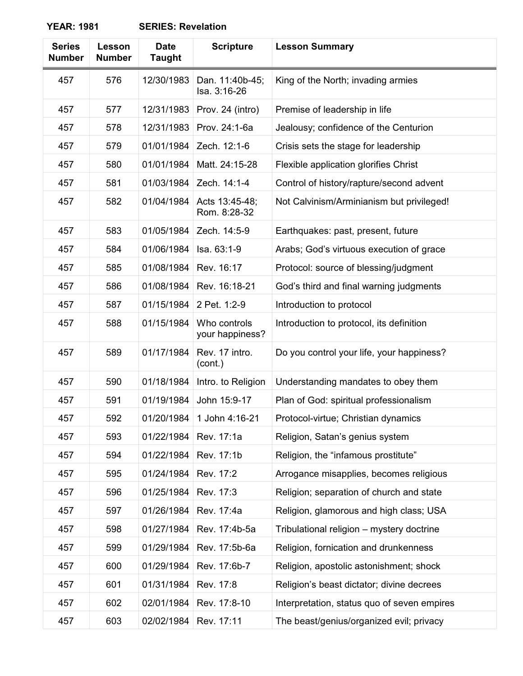| <b>Series</b><br><b>Number</b> | Lesson<br><b>Number</b> | <b>Date</b><br><b>Taught</b> | <b>Scripture</b>                | <b>Lesson Summary</b>                       |
|--------------------------------|-------------------------|------------------------------|---------------------------------|---------------------------------------------|
| 457                            | 576                     | 12/30/1983                   | Dan. 11:40b-45;<br>Isa. 3:16-26 | King of the North; invading armies          |
| 457                            | 577                     | 12/31/1983                   | Prov. 24 (intro)                | Premise of leadership in life               |
| 457                            | 578                     | 12/31/1983                   | Prov. 24:1-6a                   | Jealousy; confidence of the Centurion       |
| 457                            | 579                     | 01/01/1984                   | Zech. 12:1-6                    | Crisis sets the stage for leadership        |
| 457                            | 580                     | 01/01/1984                   | Matt. 24:15-28                  | Flexible application glorifies Christ       |
| 457                            | 581                     | 01/03/1984                   | Zech. 14:1-4                    | Control of history/rapture/second advent    |
| 457                            | 582                     | 01/04/1984                   | Acts 13:45-48;<br>Rom. 8:28-32  | Not Calvinism/Arminianism but privileged!   |
| 457                            | 583                     | 01/05/1984                   | Zech. 14:5-9                    | Earthquakes: past, present, future          |
| 457                            | 584                     | 01/06/1984                   | Isa. 63:1-9                     | Arabs; God's virtuous execution of grace    |
| 457                            | 585                     | 01/08/1984                   | Rev. 16:17                      | Protocol: source of blessing/judgment       |
| 457                            | 586                     | 01/08/1984                   | Rev. 16:18-21                   | God's third and final warning judgments     |
| 457                            | 587                     | 01/15/1984                   | 2 Pet. 1:2-9                    | Introduction to protocol                    |
| 457                            | 588                     | 01/15/1984                   | Who controls<br>your happiness? | Introduction to protocol, its definition    |
| 457                            | 589                     | 01/17/1984                   | Rev. 17 intro.<br>(cont.)       | Do you control your life, your happiness?   |
| 457                            | 590                     | 01/18/1984                   | Intro. to Religion              | Understanding mandates to obey them         |
| 457                            | 591                     | 01/19/1984                   | John 15:9-17                    | Plan of God: spiritual professionalism      |
| 457                            | 592                     | 01/20/1984                   | 1 John 4:16-21                  | Protocol-virtue; Christian dynamics         |
| 457                            | 593                     | 01/22/1984                   | Rev. 17:1a                      | Religion, Satan's genius system             |
| 457                            | 594                     | 01/22/1984                   | Rev. 17:1b                      | Religion, the "infamous prostitute"         |
| 457                            | 595                     | 01/24/1984                   | Rev. 17:2                       | Arrogance misapplies, becomes religious     |
| 457                            | 596                     | 01/25/1984                   | Rev. 17:3                       | Religion; separation of church and state    |
| 457                            | 597                     | 01/26/1984                   | Rev. 17:4a                      | Religion, glamorous and high class; USA     |
| 457                            | 598                     | 01/27/1984                   | Rev. 17:4b-5a                   | Tribulational religion - mystery doctrine   |
| 457                            | 599                     | 01/29/1984                   | Rev. 17:5b-6a                   | Religion, fornication and drunkenness       |
| 457                            | 600                     | 01/29/1984                   | Rev. 17:6b-7                    | Religion, apostolic astonishment; shock     |
| 457                            | 601                     | 01/31/1984                   | Rev. 17:8                       | Religion's beast dictator; divine decrees   |
| 457                            | 602                     | 02/01/1984                   | Rev. 17:8-10                    | Interpretation, status quo of seven empires |
| 457                            | 603                     | 02/02/1984                   | Rev. 17:11                      | The beast/genius/organized evil; privacy    |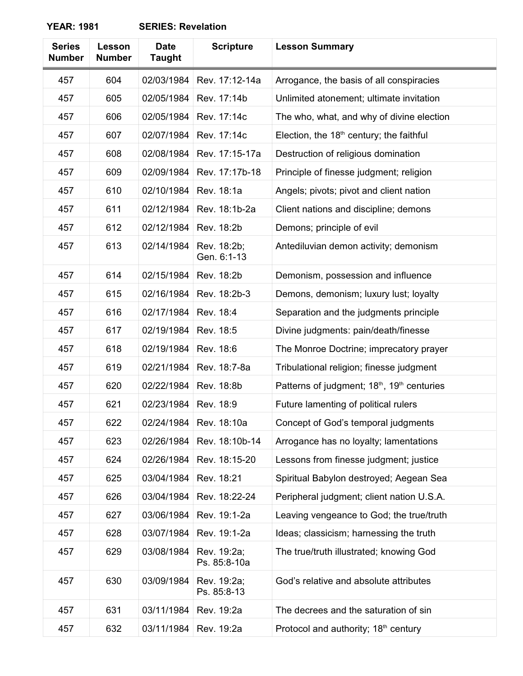| <b>Series</b><br><b>Number</b> | Lesson<br><b>Number</b> | <b>Date</b><br><b>Taught</b> | <b>Scripture</b>            | <b>Lesson Summary</b>                            |
|--------------------------------|-------------------------|------------------------------|-----------------------------|--------------------------------------------------|
| 457                            | 604                     | 02/03/1984                   | Rev. 17:12-14a              | Arrogance, the basis of all conspiracies         |
| 457                            | 605                     | 02/05/1984                   | Rev. 17:14b                 | Unlimited atonement; ultimate invitation         |
| 457                            | 606                     | 02/05/1984                   | Rev. 17:14c                 | The who, what, and why of divine election        |
| 457                            | 607                     | 02/07/1984                   | Rev. 17:14c                 | Election, the $18th$ century; the faithful       |
| 457                            | 608                     | 02/08/1984                   | Rev. 17:15-17a              | Destruction of religious domination              |
| 457                            | 609                     | 02/09/1984                   | Rev. 17:17b-18              | Principle of finesse judgment; religion          |
| 457                            | 610                     | 02/10/1984                   | Rev. 18:1a                  | Angels; pivots; pivot and client nation          |
| 457                            | 611                     | 02/12/1984                   | Rev. 18:1b-2a               | Client nations and discipline; demons            |
| 457                            | 612                     | 02/12/1984                   | Rev. 18:2b                  | Demons; principle of evil                        |
| 457                            | 613                     | 02/14/1984                   | Rev. 18:2b;<br>Gen. 6:1-13  | Antediluvian demon activity; demonism            |
| 457                            | 614                     | 02/15/1984                   | Rev. 18:2b                  | Demonism, possession and influence               |
| 457                            | 615                     | 02/16/1984                   | Rev. 18:2b-3                | Demons, demonism; luxury lust; loyalty           |
| 457                            | 616                     | 02/17/1984                   | Rev. 18:4                   | Separation and the judgments principle           |
| 457                            | 617                     | 02/19/1984                   | Rev. 18:5                   | Divine judgments: pain/death/finesse             |
| 457                            | 618                     | 02/19/1984                   | Rev. 18:6                   | The Monroe Doctrine; imprecatory prayer          |
| 457                            | 619                     | 02/21/1984                   | Rev. 18:7-8a                | Tribulational religion; finesse judgment         |
| 457                            | 620                     | 02/22/1984                   | Rev. 18:8b                  | Patterns of judgment; 18th, 19th centuries       |
| 457                            | 621                     | 02/23/1984                   | Rev. 18:9                   | Future lamenting of political rulers             |
| 457                            | 622                     | 02/24/1984                   | Rev. 18:10a                 | Concept of God's temporal judgments              |
| 457                            | 623                     | 02/26/1984                   | Rev. 18:10b-14              | Arrogance has no loyalty; lamentations           |
| 457                            | 624                     | 02/26/1984                   | Rev. 18:15-20               | Lessons from finesse judgment; justice           |
| 457                            | 625                     | 03/04/1984                   | Rev. 18:21                  | Spiritual Babylon destroyed; Aegean Sea          |
| 457                            | 626                     | 03/04/1984                   | Rev. 18:22-24               | Peripheral judgment; client nation U.S.A.        |
| 457                            | 627                     | 03/06/1984                   | Rev. 19:1-2a                | Leaving vengeance to God; the true/truth         |
| 457                            | 628                     | 03/07/1984                   | Rev. 19:1-2a                | Ideas; classicism; harnessing the truth          |
| 457                            | 629                     | 03/08/1984                   | Rev. 19:2a;<br>Ps. 85:8-10a | The true/truth illustrated; knowing God          |
| 457                            | 630                     | 03/09/1984                   | Rev. 19:2a;<br>Ps. 85:8-13  | God's relative and absolute attributes           |
| 457                            | 631                     | 03/11/1984                   | Rev. 19:2a                  | The decrees and the saturation of sin            |
| 457                            | 632                     | 03/11/1984                   | Rev. 19:2a                  | Protocol and authority; 18 <sup>th</sup> century |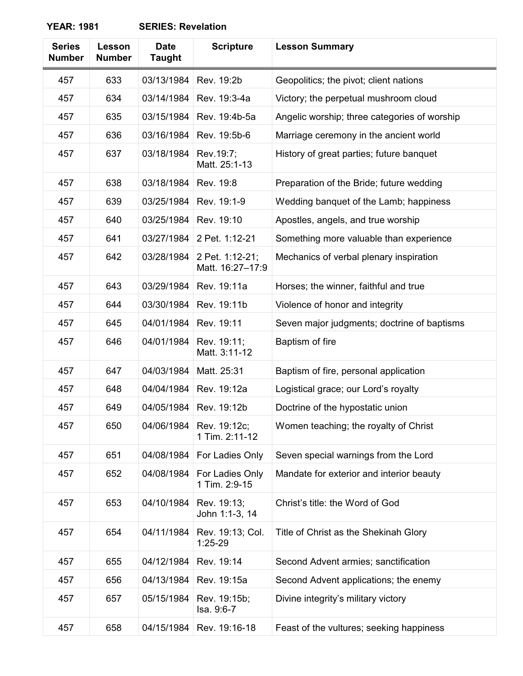| <b>Series</b><br><b>Number</b> | Lesson<br><b>Number</b> | <b>Date</b><br><b>Taught</b> | <b>Scripture</b>                    | <b>Lesson Summary</b>                        |
|--------------------------------|-------------------------|------------------------------|-------------------------------------|----------------------------------------------|
| 457                            | 633                     | 03/13/1984                   | Rev. 19:2b                          | Geopolitics; the pivot; client nations       |
| 457                            | 634                     | 03/14/1984                   | Rev. 19:3-4a                        | Victory; the perpetual mushroom cloud        |
| 457                            | 635                     | 03/15/1984                   | Rev. 19:4b-5a                       | Angelic worship; three categories of worship |
| 457                            | 636                     | 03/16/1984                   | Rev. 19:5b-6                        | Marriage ceremony in the ancient world       |
| 457                            | 637                     | 03/18/1984                   | Rev.19:7;<br>Matt. 25:1-13          | History of great parties; future banquet     |
| 457                            | 638                     | 03/18/1984                   | Rev. 19:8                           | Preparation of the Bride; future wedding     |
| 457                            | 639                     | 03/25/1984                   | Rev. 19:1-9                         | Wedding banquet of the Lamb; happiness       |
| 457                            | 640                     | 03/25/1984                   | Rev. 19:10                          | Apostles, angels, and true worship           |
| 457                            | 641                     | 03/27/1984                   | 2 Pet. 1:12-21                      | Something more valuable than experience      |
| 457                            | 642                     | 03/28/1984                   | 2 Pet. 1:12-21;<br>Matt. 16:27-17:9 | Mechanics of verbal plenary inspiration      |
| 457                            | 643                     | 03/29/1984                   | Rev. 19:11a                         | Horses; the winner, faithful and true        |
| 457                            | 644                     | 03/30/1984                   | Rev. 19:11b                         | Violence of honor and integrity              |
| 457                            | 645                     | 04/01/1984                   | Rev. 19:11                          | Seven major judgments; doctrine of baptisms  |
| 457                            | 646                     | 04/01/1984                   | Rev. 19:11;<br>Matt. 3:11-12        | Baptism of fire                              |
| 457                            | 647                     | 04/03/1984                   | Matt. 25:31                         | Baptism of fire, personal application        |
| 457                            | 648                     | 04/04/1984                   | Rev. 19:12a                         | Logistical grace; our Lord's royalty         |
| 457                            | 649                     | 04/05/1984                   | Rev. 19:12b                         | Doctrine of the hypostatic union             |
| 457                            | 650                     | 04/06/1984                   | Rev. 19:12c;<br>1 Tim. 2:11-12      | Women teaching; the royalty of Christ        |
| 457                            | 651                     | 04/08/1984                   | For Ladies Only                     | Seven special warnings from the Lord         |
| 457                            | 652                     | 04/08/1984                   | For Ladies Only<br>1 Tim. 2:9-15    | Mandate for exterior and interior beauty     |
| 457                            | 653                     | 04/10/1984                   | Rev. 19:13;<br>John 1:1-3, 14       | Christ's title: the Word of God              |
| 457                            | 654                     | 04/11/1984                   | Rev. 19:13; Col.<br>$1:25-29$       | Title of Christ as the Shekinah Glory        |
| 457                            | 655                     | 04/12/1984                   | Rev. 19:14                          | Second Advent armies; sanctification         |
| 457                            | 656                     | 04/13/1984                   | Rev. 19:15a                         | Second Advent applications; the enemy        |
| 457                            | 657                     | 05/15/1984                   | Rev. 19:15b;<br>Isa. 9:6-7          | Divine integrity's military victory          |
| 457                            | 658                     | 04/15/1984                   | Rev. 19:16-18                       | Feast of the vultures; seeking happiness     |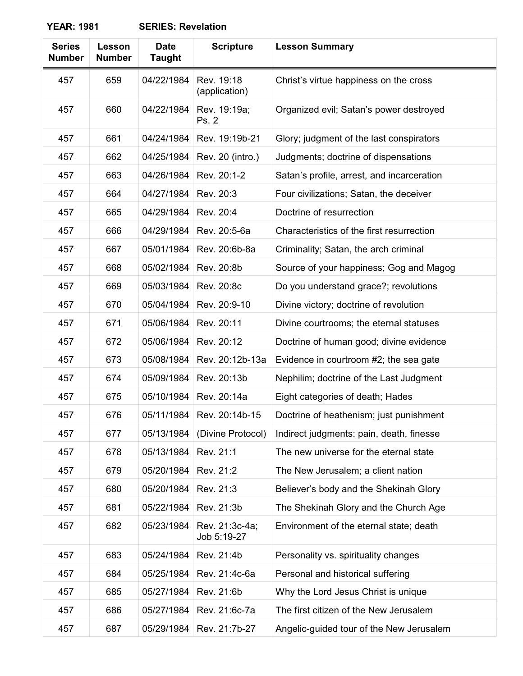| <b>Series</b><br><b>Number</b> | Lesson<br><b>Number</b> | <b>Date</b><br><b>Taught</b> | <b>Scripture</b>              | <b>Lesson Summary</b>                      |
|--------------------------------|-------------------------|------------------------------|-------------------------------|--------------------------------------------|
| 457                            | 659                     | 04/22/1984                   | Rev. 19:18<br>(application)   | Christ's virtue happiness on the cross     |
| 457                            | 660                     | 04/22/1984                   | Rev. 19:19a;<br>Ps. 2         | Organized evil; Satan's power destroyed    |
| 457                            | 661                     | 04/24/1984                   | Rev. 19:19b-21                | Glory; judgment of the last conspirators   |
| 457                            | 662                     | 04/25/1984                   | Rev. 20 (intro.)              | Judgments; doctrine of dispensations       |
| 457                            | 663                     | 04/26/1984                   | Rev. 20:1-2                   | Satan's profile, arrest, and incarceration |
| 457                            | 664                     | 04/27/1984                   | Rev. 20:3                     | Four civilizations; Satan, the deceiver    |
| 457                            | 665                     | 04/29/1984                   | Rev. 20:4                     | Doctrine of resurrection                   |
| 457                            | 666                     | 04/29/1984                   | Rev. 20:5-6a                  | Characteristics of the first resurrection  |
| 457                            | 667                     | 05/01/1984                   | Rev. 20:6b-8a                 | Criminality; Satan, the arch criminal      |
| 457                            | 668                     | 05/02/1984                   | Rev. 20:8b                    | Source of your happiness; Gog and Magog    |
| 457                            | 669                     | 05/03/1984                   | Rev. 20:8c                    | Do you understand grace?; revolutions      |
| 457                            | 670                     | 05/04/1984                   | Rev. 20:9-10                  | Divine victory; doctrine of revolution     |
| 457                            | 671                     | 05/06/1984                   | Rev. 20:11                    | Divine courtrooms; the eternal statuses    |
| 457                            | 672                     | 05/06/1984                   | Rev. 20:12                    | Doctrine of human good; divine evidence    |
| 457                            | 673                     | 05/08/1984                   | Rev. 20:12b-13a               | Evidence in courtroom #2; the sea gate     |
| 457                            | 674                     | 05/09/1984                   | Rev. 20:13b                   | Nephilim; doctrine of the Last Judgment    |
| 457                            | 675                     | 05/10/1984                   | Rev. 20:14a                   | Eight categories of death; Hades           |
| 457                            | 676                     | 05/11/1984                   | Rev. 20:14b-15                | Doctrine of heathenism; just punishment    |
| 457                            | 677                     | 05/13/1984                   | (Divine Protocol)             | Indirect judgments: pain, death, finesse   |
| 457                            | 678                     | 05/13/1984                   | Rev. 21:1                     | The new universe for the eternal state     |
| 457                            | 679                     | 05/20/1984                   | Rev. 21:2                     | The New Jerusalem; a client nation         |
| 457                            | 680                     | 05/20/1984                   | Rev. 21:3                     | Believer's body and the Shekinah Glory     |
| 457                            | 681                     | 05/22/1984                   | Rev. 21:3b                    | The Shekinah Glory and the Church Age      |
| 457                            | 682                     | 05/23/1984                   | Rev. 21:3c-4a;<br>Job 5:19-27 | Environment of the eternal state; death    |
| 457                            | 683                     | 05/24/1984                   | Rev. 21:4b                    | Personality vs. spirituality changes       |
| 457                            | 684                     | 05/25/1984                   | Rev. 21:4c-6a                 | Personal and historical suffering          |
| 457                            | 685                     | 05/27/1984                   | Rev. 21:6b                    | Why the Lord Jesus Christ is unique        |
| 457                            | 686                     | 05/27/1984                   | Rev. 21:6c-7a                 | The first citizen of the New Jerusalem     |
| 457                            | 687                     | 05/29/1984                   | Rev. 21:7b-27                 | Angelic-guided tour of the New Jerusalem   |